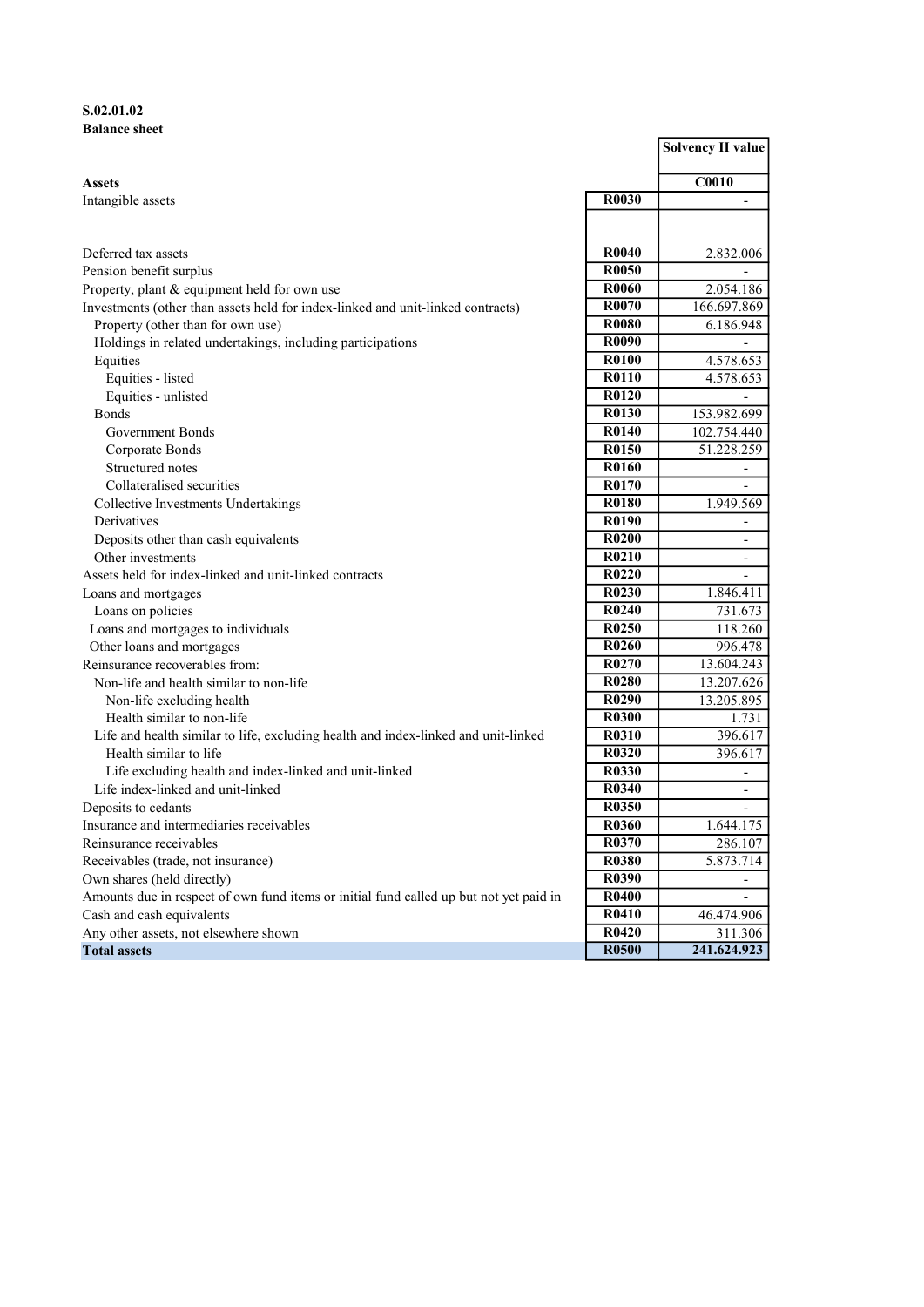# S.02.01.02 Balance sheet

|                                                                                        |                                | <b>Solvency II value</b> |
|----------------------------------------------------------------------------------------|--------------------------------|--------------------------|
| <b>Assets</b>                                                                          |                                | <b>C0010</b>             |
| Intangible assets                                                                      | <b>R0030</b>                   |                          |
|                                                                                        |                                |                          |
| Deferred tax assets                                                                    | R <sub>0040</sub>              | 2.832.006                |
| Pension benefit surplus                                                                | R <sub>0050</sub>              |                          |
| Property, plant & equipment held for own use                                           | <b>R0060</b>                   | 2.054.186                |
| Investments (other than assets held for index-linked and unit-linked contracts)        | R0070                          | 166.697.869              |
| Property (other than for own use)                                                      | R0080                          | 6.186.948                |
| Holdings in related undertakings, including participations                             | R0090                          | $\overline{\phantom{0}}$ |
| Equities                                                                               | <b>R0100</b>                   | 4.578.653                |
| Equities - listed                                                                      | <b>R0110</b>                   | 4.578.653                |
| Equities - unlisted                                                                    | R0120                          |                          |
| <b>Bonds</b>                                                                           | R0130                          | 153.982.699              |
| Government Bonds                                                                       | R0140                          | 102.754.440              |
| Corporate Bonds                                                                        | R0150                          | 51.228.259               |
| Structured notes                                                                       | R0160                          | $\overline{\phantom{a}}$ |
| Collateralised securities                                                              | R0170                          |                          |
| Collective Investments Undertakings                                                    | R0180                          | 1.949.569                |
| Derivatives                                                                            | R0190                          | $\overline{\phantom{a}}$ |
| Deposits other than cash equivalents                                                   | <b>R0200</b>                   | $\overline{\phantom{a}}$ |
| Other investments                                                                      | R0210                          | $\overline{\phantom{a}}$ |
| Assets held for index-linked and unit-linked contracts                                 | R <sub>0220</sub>              | $\overline{\phantom{a}}$ |
| Loans and mortgages                                                                    | R <sub>0</sub> 23 <sub>0</sub> | 1.846.411                |
| Loans on policies                                                                      | R0240                          | 731.673                  |
| Loans and mortgages to individuals                                                     | R0250                          | 118.260                  |
| Other loans and mortgages                                                              | R0260                          | 996.478                  |
| Reinsurance recoverables from:                                                         | R0270                          | 13.604.243               |
| Non-life and health similar to non-life                                                | R0280                          | 13.207.626               |
| Non-life excluding health                                                              | R0290                          | $\overline{13.205.895}$  |
| Health similar to non-life                                                             | <b>R0300</b>                   | 1.731                    |
| Life and health similar to life, excluding health and index-linked and unit-linked     | R0310                          | 396.617                  |
| Health similar to life                                                                 | <b>R0320</b>                   | 396.617                  |
| Life excluding health and index-linked and unit-linked                                 | R0330                          | $\overline{\phantom{a}}$ |
| Life index-linked and unit-linked                                                      | <b>R0340</b>                   | $\overline{\phantom{a}}$ |
| Deposits to cedants                                                                    | <b>R0350</b>                   | $\overline{\phantom{a}}$ |
| Insurance and intermediaries receivables                                               | <b>R0360</b>                   | 1.644.175                |
| Reinsurance receivables                                                                | R0370                          | 286.107                  |
| Receivables (trade, not insurance)                                                     | <b>R0380</b>                   | 5.873.714                |
| Own shares (held directly)                                                             | R0390                          |                          |
| Amounts due in respect of own fund items or initial fund called up but not yet paid in | <b>R0400</b>                   |                          |
| Cash and cash equivalents                                                              | R0410                          | 46.474.906               |
| Any other assets, not elsewhere shown                                                  | <b>R0420</b>                   | 311.306                  |
| <b>Total assets</b>                                                                    | <b>R0500</b>                   | 241.624.923              |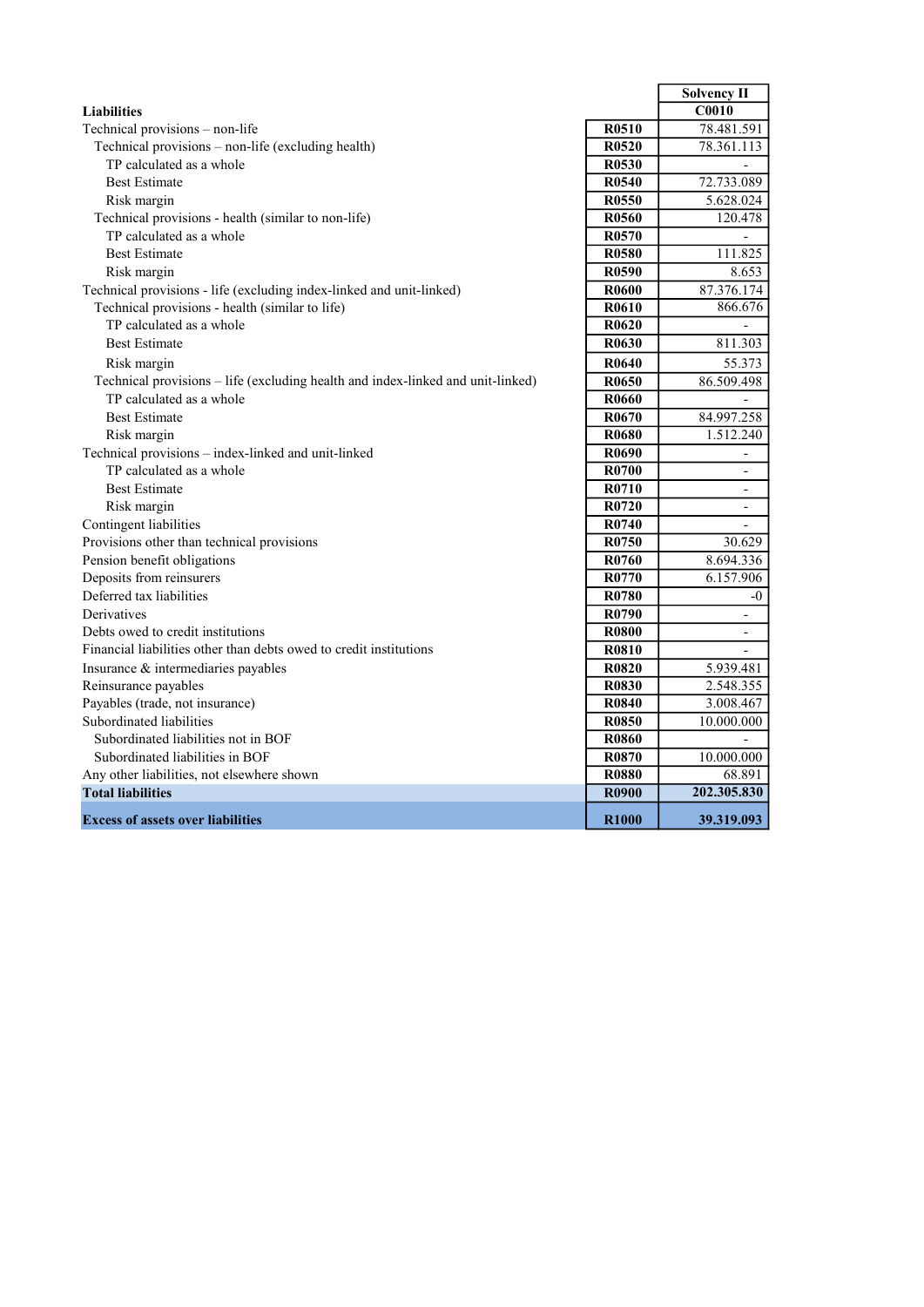|                                                                                 |                   | <b>Solvency II</b>       |
|---------------------------------------------------------------------------------|-------------------|--------------------------|
| <b>Liabilities</b>                                                              |                   | $\overline{C0010}$       |
| Technical provisions - non-life                                                 | R <sub>0510</sub> | 78.481.591               |
| Technical provisions - non-life (excluding health)                              | R <sub>0520</sub> | 78.361.113               |
| TP calculated as a whole                                                        | R <sub>0530</sub> |                          |
| <b>Best Estimate</b>                                                            | R0540             | 72.733.089               |
| Risk margin                                                                     | R0550             | 5.628.024                |
| Technical provisions - health (similar to non-life)                             | R0560             | 120.478                  |
| TP calculated as a whole                                                        | R0570             |                          |
| <b>Best Estimate</b>                                                            | R <sub>0580</sub> | 111.825                  |
| Risk margin                                                                     | R0590             | 8.653                    |
| Technical provisions - life (excluding index-linked and unit-linked)            | <b>R0600</b>      | 87.376.174               |
| Technical provisions - health (similar to life)                                 | R0610             | 866.676                  |
| TP calculated as a whole                                                        | R <sub>0620</sub> |                          |
| <b>Best Estimate</b>                                                            | R0630             | 811.303                  |
| Risk margin                                                                     | R0640             | 55.373                   |
| Technical provisions - life (excluding health and index-linked and unit-linked) | R0650             | 86.509.498               |
| TP calculated as a whole                                                        | <b>R0660</b>      |                          |
| <b>Best Estimate</b>                                                            | R0670             | 84.997.258               |
| Risk margin                                                                     | R <sub>0680</sub> | 1.512.240                |
| Technical provisions - index-linked and unit-linked                             | R0690             | $\overline{\phantom{a}}$ |
| TP calculated as a whole                                                        | R0700             | $\overline{\phantom{a}}$ |
| <b>Best Estimate</b>                                                            | R0710             | $\overline{\phantom{a}}$ |
| Risk margin                                                                     | R0720             | $\overline{\phantom{a}}$ |
| Contingent liabilities                                                          | R0740             | $\overline{\phantom{a}}$ |
| Provisions other than technical provisions                                      | R <sub>0750</sub> | 30.629                   |
| Pension benefit obligations                                                     | R0760             | 8.694.336                |
| Deposits from reinsurers                                                        | R0770             | 6.157.906                |
| Deferred tax liabilities                                                        | R0780             | $-0$                     |
| Derivatives                                                                     | R0790             | $\overline{\phantom{a}}$ |
| Debts owed to credit institutions                                               | <b>R0800</b>      | $\overline{a}$           |
| Financial liabilities other than debts owed to credit institutions              | <b>R0810</b>      |                          |
| Insurance & intermediaries payables                                             | <b>R0820</b>      | 5.939.481                |
| Reinsurance payables                                                            | R0830             | 2.548.355                |
| Payables (trade, not insurance)                                                 | R0840             | 3.008.467                |
| Subordinated liabilities                                                        | <b>R0850</b>      | 10.000.000               |
| Subordinated liabilities not in BOF                                             | <b>R0860</b>      | $\overline{a}$           |
| Subordinated liabilities in BOF                                                 | R0870             | 10.000.000               |
| Any other liabilities, not elsewhere shown                                      | <b>R0880</b>      | 68.891                   |
| <b>Total liabilities</b>                                                        | <b>R0900</b>      | 202.305.830              |
| <b>Excess of assets over liabilities</b>                                        | R <sub>1000</sub> | 39.319.093               |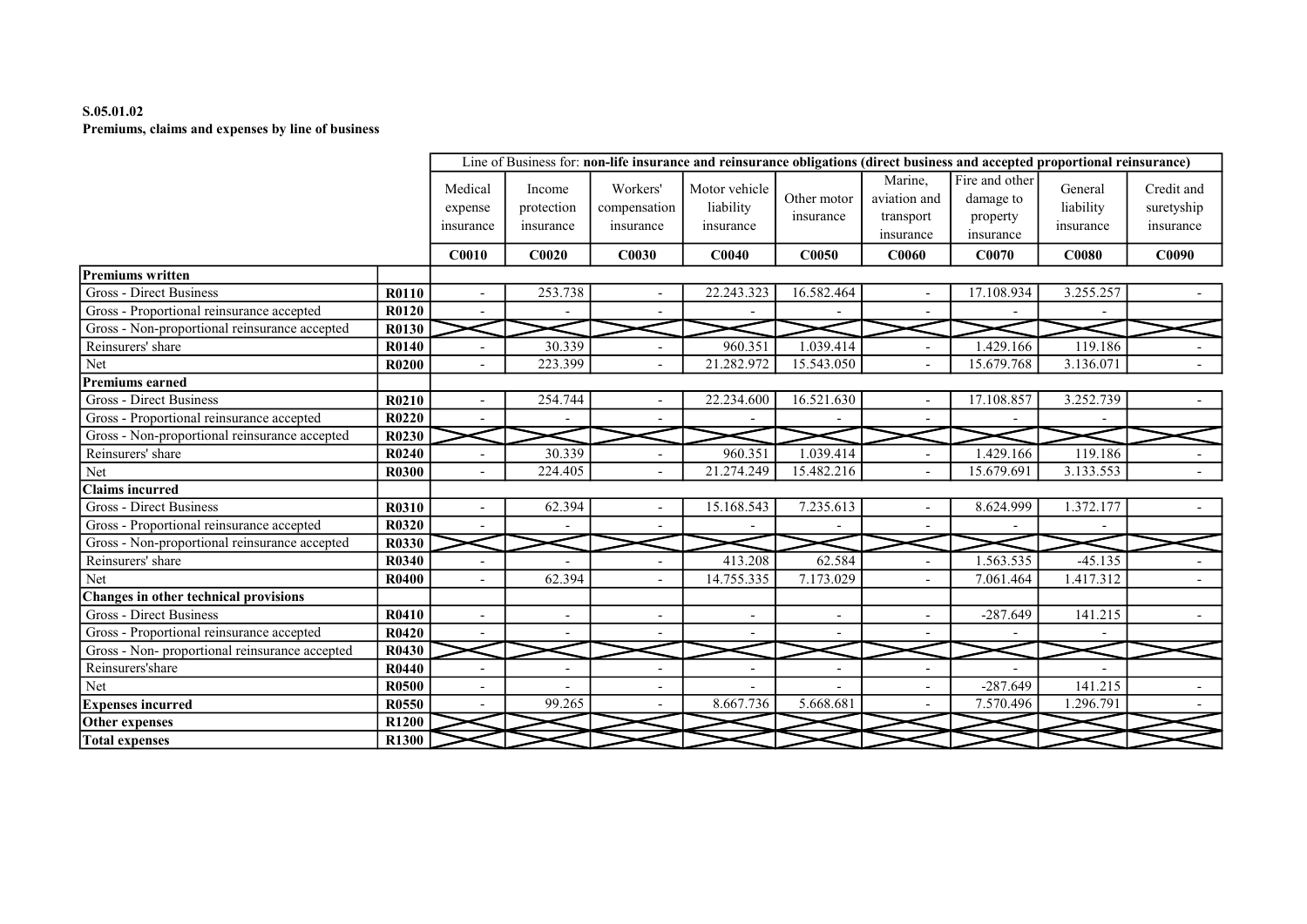# S.05.01.02 Premiums, claims and expenses by line of business

|                                                |              |                                 |                                   |                                       | Line of Business for: non-life insurance and reinsurance obligations (direct business and accepted proportional reinsurance) |                          |                                                   |                                                      |                                   |                                       |
|------------------------------------------------|--------------|---------------------------------|-----------------------------------|---------------------------------------|------------------------------------------------------------------------------------------------------------------------------|--------------------------|---------------------------------------------------|------------------------------------------------------|-----------------------------------|---------------------------------------|
|                                                |              | Medical<br>expense<br>insurance | Income<br>protection<br>insurance | Workers'<br>compensation<br>insurance | Motor vehicle<br>liability<br>insurance                                                                                      | Other motor<br>insurance | Marine.<br>aviation and<br>transport<br>insurance | Fire and other<br>damage to<br>property<br>insurance | General<br>liability<br>insurance | Credit and<br>suretyship<br>insurance |
|                                                |              | <b>C0010</b>                    | C0020                             | <b>C0030</b>                          | C0040                                                                                                                        | C0050                    | <b>C0060</b>                                      | C0070                                                | <b>C0080</b>                      | C0090                                 |
| Premiums written                               |              |                                 |                                   |                                       |                                                                                                                              |                          |                                                   |                                                      |                                   |                                       |
| Gross - Direct Business                        | R0110        | $\overline{\phantom{a}}$        | 253.738                           |                                       | 22.243.323                                                                                                                   | 16.582.464               |                                                   | 17.108.934                                           | 3.255.257                         |                                       |
| Gross - Proportional reinsurance accepted      | R0120        |                                 |                                   |                                       |                                                                                                                              |                          |                                                   |                                                      |                                   |                                       |
| Gross - Non-proportional reinsurance accepted  | R0130        |                                 |                                   |                                       |                                                                                                                              |                          |                                                   |                                                      |                                   |                                       |
| Reinsurers' share                              | R0140        |                                 | 30.339                            |                                       | 960.351                                                                                                                      | 1.039.414                |                                                   | 1.429.166                                            | 119.186                           |                                       |
| Net                                            | <b>R0200</b> |                                 | 223.399                           |                                       | 21.282.972                                                                                                                   | 15.543.050               |                                                   | 15.679.768                                           | 3.136.071                         |                                       |
| <b>Premiums earned</b>                         |              |                                 |                                   |                                       |                                                                                                                              |                          |                                                   |                                                      |                                   |                                       |
| Gross - Direct Business                        | R0210        | $\overline{\phantom{a}}$        | 254.744                           |                                       | 22.234.600                                                                                                                   | 16.521.630               | $\overline{\phantom{a}}$                          | 17.108.857                                           | 3.252.739                         |                                       |
| Gross - Proportional reinsurance accepted      | R0220        |                                 |                                   |                                       |                                                                                                                              |                          |                                                   |                                                      |                                   |                                       |
| Gross - Non-proportional reinsurance accepted  | R0230        |                                 |                                   |                                       |                                                                                                                              |                          |                                                   |                                                      |                                   |                                       |
| Reinsurers' share                              | R0240        |                                 | 30.339                            |                                       | 960.351                                                                                                                      | 1.039.414                |                                                   | 1.429.166                                            | 119.186                           |                                       |
| Net                                            | R0300        |                                 | 224.405                           |                                       | 21.274.249                                                                                                                   | 15.482.216               |                                                   | 15.679.691                                           | 3.133.553                         |                                       |
| <b>Claims incurred</b>                         |              |                                 |                                   |                                       |                                                                                                                              |                          |                                                   |                                                      |                                   |                                       |
| Gross - Direct Business                        | R0310        |                                 | 62.394                            |                                       | 15.168.543                                                                                                                   | 7.235.613                |                                                   | 8.624.999                                            | 1.372.177                         |                                       |
| Gross - Proportional reinsurance accepted      | <b>R0320</b> |                                 |                                   |                                       |                                                                                                                              |                          |                                                   |                                                      |                                   |                                       |
| Gross - Non-proportional reinsurance accepted  | R0330        |                                 |                                   |                                       |                                                                                                                              |                          |                                                   |                                                      |                                   |                                       |
| Reinsurers' share                              | <b>R0340</b> | $\overline{a}$                  |                                   |                                       | 413.208                                                                                                                      | 62.584                   |                                                   | 1.563.535                                            | $-45.135$                         |                                       |
| Net                                            | R0400        |                                 | 62.394                            |                                       | 14.755.335                                                                                                                   | 7.173.029                |                                                   | 7.061.464                                            | 1.417.312                         |                                       |
| Changes in other technical provisions          |              |                                 |                                   |                                       |                                                                                                                              |                          |                                                   |                                                      |                                   |                                       |
| <b>Gross - Direct Business</b>                 | R0410        |                                 | $\overline{\phantom{a}}$          | $\qquad \qquad \blacksquare$          | $\overline{\phantom{a}}$                                                                                                     | $\overline{\phantom{a}}$ | $\overline{\phantom{a}}$                          | $-287.649$                                           | 141.215                           |                                       |
| Gross - Proportional reinsurance accepted      | R0420        | $\sim$                          | $\overline{\phantom{0}}$          |                                       |                                                                                                                              |                          |                                                   |                                                      |                                   |                                       |
| Gross - Non- proportional reinsurance accepted | R0430        |                                 |                                   |                                       |                                                                                                                              |                          |                                                   |                                                      |                                   |                                       |
| Reinsurers'share                               | R0440        | $\overline{a}$                  |                                   |                                       |                                                                                                                              |                          |                                                   |                                                      |                                   |                                       |
| Net                                            | <b>R0500</b> |                                 |                                   |                                       |                                                                                                                              |                          |                                                   | $-287.649$                                           | 141.215                           |                                       |
| <b>Expenses incurred</b>                       | <b>R0550</b> |                                 | 99.265                            |                                       | 8.667.736                                                                                                                    | 5.668.681                |                                                   | 7.570.496                                            | 1.296.791                         |                                       |
| Other expenses                                 | R1200        |                                 |                                   |                                       |                                                                                                                              |                          |                                                   |                                                      |                                   |                                       |
| <b>Total expenses</b>                          | <b>R1300</b> |                                 |                                   |                                       |                                                                                                                              |                          |                                                   |                                                      |                                   |                                       |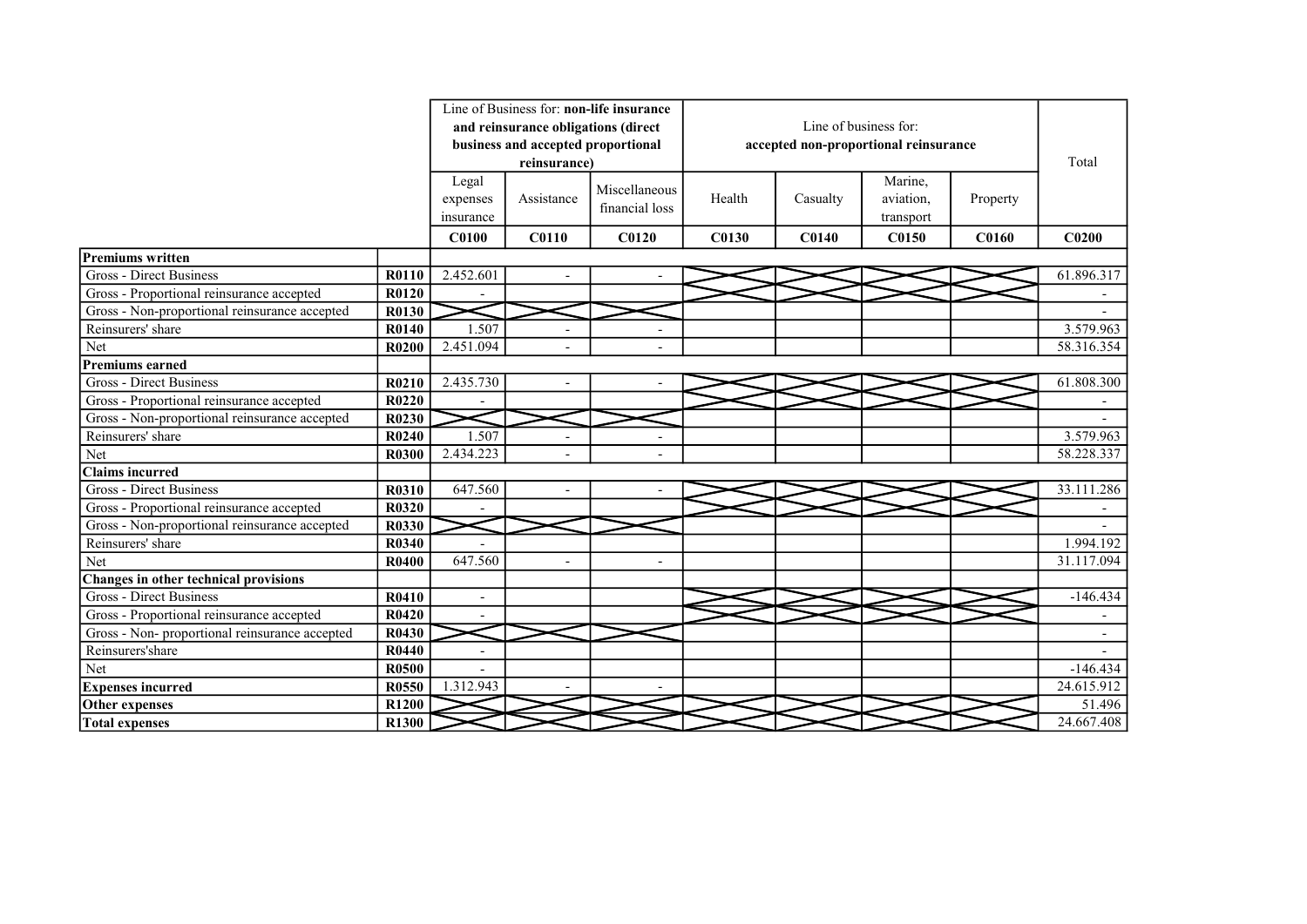|                                                |              |                |                                     | Line of Business for: non-life insurance |              |                       |                                       |              |                          |
|------------------------------------------------|--------------|----------------|-------------------------------------|------------------------------------------|--------------|-----------------------|---------------------------------------|--------------|--------------------------|
|                                                |              |                | and reinsurance obligations (direct |                                          |              | Line of business for: |                                       |              |                          |
|                                                |              |                | business and accepted proportional  |                                          |              |                       | accepted non-proportional reinsurance |              |                          |
|                                                |              |                | reinsurance)                        |                                          |              |                       |                                       |              | Total                    |
|                                                |              | Legal          |                                     |                                          |              |                       | Marine,                               |              |                          |
|                                                |              | expenses       | Assistance                          | Miscellaneous                            | Health       | Casualty              | aviation,                             | Property     |                          |
|                                                |              | insurance      |                                     | financial loss                           |              |                       | transport                             |              |                          |
|                                                |              | <b>C0100</b>   | <b>C0110</b>                        | C <sub>0120</sub>                        | <b>C0130</b> | <b>C0140</b>          | <b>C0150</b>                          | <b>C0160</b> | C <sub>0200</sub>        |
| <b>Premiums written</b>                        |              |                |                                     |                                          |              |                       |                                       |              |                          |
| Gross - Direct Business                        | R0110        | 2.452.601      |                                     |                                          |              |                       |                                       |              | 61.896.317               |
| Gross - Proportional reinsurance accepted      | <b>R0120</b> |                |                                     |                                          |              |                       |                                       |              |                          |
| Gross - Non-proportional reinsurance accepted  | R0130        |                |                                     |                                          |              |                       |                                       |              |                          |
| Reinsurers' share                              | R0140        | 1.507          | $\overline{\phantom{a}}$            |                                          |              |                       |                                       |              | 3.579.963                |
| Net                                            | R0200        | 2.451.094      |                                     |                                          |              |                       |                                       |              | 58.316.354               |
| Premiums earned                                |              |                |                                     |                                          |              |                       |                                       |              |                          |
| <b>Gross - Direct Business</b>                 | R0210        | 2.435.730      |                                     |                                          |              |                       |                                       |              | 61.808.300               |
| Gross - Proportional reinsurance accepted      | R0220        |                |                                     |                                          |              |                       |                                       |              |                          |
| Gross - Non-proportional reinsurance accepted  | R0230        |                |                                     |                                          |              |                       |                                       |              |                          |
| Reinsurers' share                              | R0240        | 1.507          |                                     |                                          |              |                       |                                       |              | 3.579.963                |
| Net                                            | R0300        | 2.434.223      |                                     |                                          |              |                       |                                       |              | 58.228.337               |
| Claims incurred                                |              |                |                                     |                                          |              |                       |                                       |              |                          |
| <b>Gross - Direct Business</b>                 | <b>R0310</b> | 647.560        | $\overline{\phantom{a}}$            | $\overline{a}$                           |              |                       |                                       |              | 33.111.286               |
| Gross - Proportional reinsurance accepted      | R0320        |                |                                     |                                          |              |                       |                                       |              |                          |
| Gross - Non-proportional reinsurance accepted  | <b>R0330</b> |                |                                     |                                          |              |                       |                                       |              |                          |
| Reinsurers' share                              | R0340        |                |                                     |                                          |              |                       |                                       |              | 1.994.192                |
| Net                                            | R0400        | 647.560        |                                     | $\overline{\phantom{a}}$                 |              |                       |                                       |              | 31.117.094               |
| Changes in other technical provisions          |              |                |                                     |                                          |              |                       |                                       |              |                          |
| Gross - Direct Business                        | R0410        | L,             |                                     |                                          |              |                       |                                       |              | $-146.434$               |
| Gross - Proportional reinsurance accepted      | R0420        |                |                                     |                                          |              |                       |                                       |              |                          |
| Gross - Non- proportional reinsurance accepted | R0430        |                |                                     |                                          |              |                       |                                       |              | $\overline{\phantom{a}}$ |
| Reinsurers'share                               | R0440        | $\blacksquare$ |                                     |                                          |              |                       |                                       |              |                          |
| Net                                            | <b>R0500</b> |                |                                     |                                          |              |                       |                                       |              | $-146.434$               |
| <b>Expenses incurred</b>                       | R0550        | 1.312.943      |                                     |                                          |              |                       |                                       |              | 24.615.912               |
| Other expenses                                 | R1200        |                |                                     |                                          |              |                       |                                       |              | 51.496                   |
| <b>Total expenses</b>                          | R1300        |                |                                     |                                          |              |                       |                                       |              | 24.667.408               |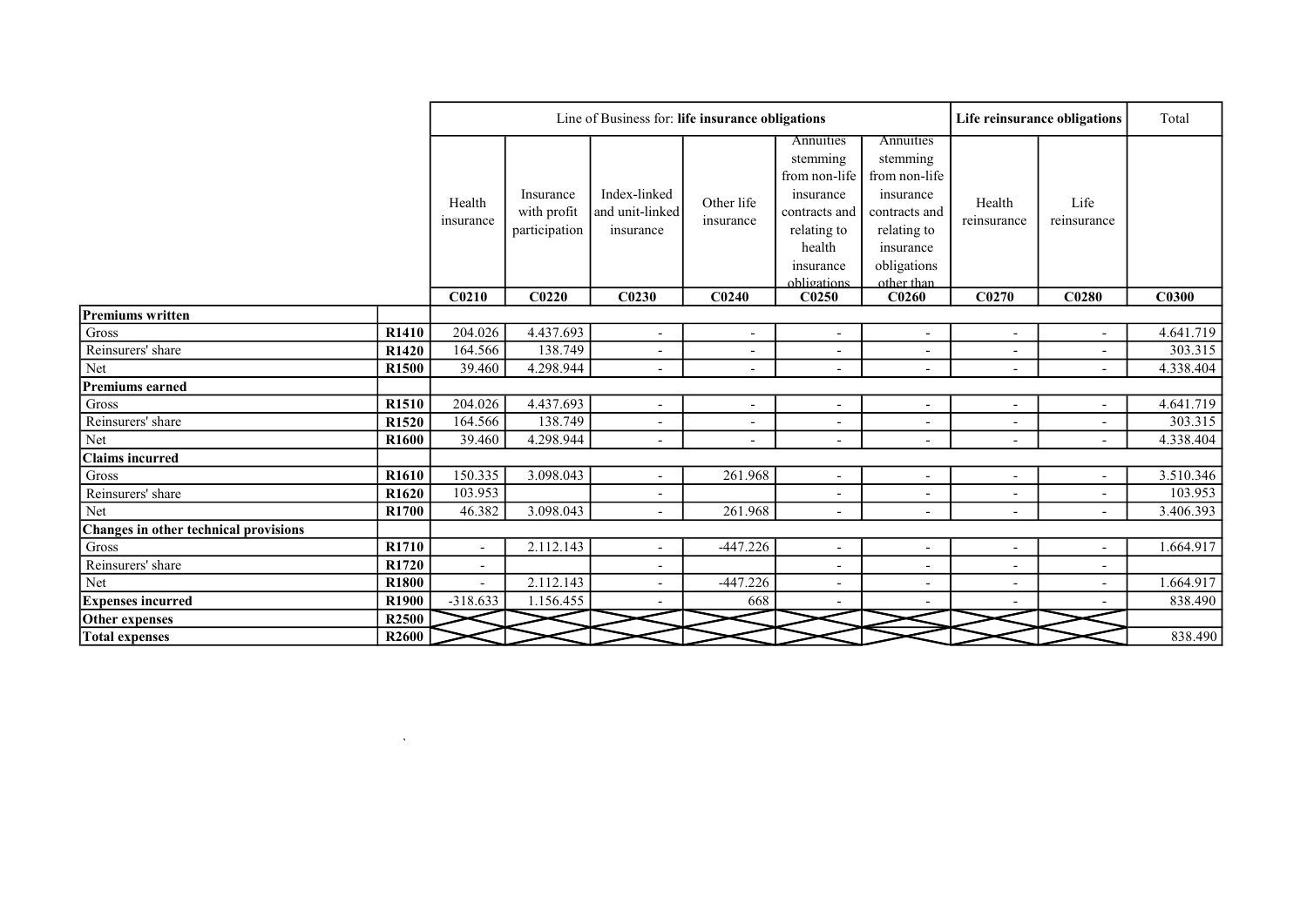|                                       |                   |                          |                                           | Line of Business for: life insurance obligations |                          |                                                                                                                           |                                                                                                                               |                          | Life reinsurance obligations | Total        |
|---------------------------------------|-------------------|--------------------------|-------------------------------------------|--------------------------------------------------|--------------------------|---------------------------------------------------------------------------------------------------------------------------|-------------------------------------------------------------------------------------------------------------------------------|--------------------------|------------------------------|--------------|
|                                       |                   | Health<br>insurance      | Insurance<br>with profit<br>participation | Index-linked<br>and unit-linked<br>insurance     | Other life<br>insurance  | Annuities<br>stemming<br>from non-life<br>insurance<br>contracts and<br>relating to<br>health<br>insurance<br>obligations | Annuities<br>stemming<br>from non-life<br>insurance<br>contracts and<br>relating to<br>insurance<br>obligations<br>other than | Health<br>reinsurance    | Life<br>reinsurance          |              |
|                                       |                   | C <sub>0210</sub>        | C <sub>0220</sub>                         | C <sub>0230</sub>                                | C <sub>0240</sub>        | C <sub>0250</sub>                                                                                                         | C <sub>0260</sub>                                                                                                             | C <sub>0270</sub>        | C <sub>0280</sub>            | <b>C0300</b> |
| <b>Premiums written</b>               |                   |                          |                                           |                                                  |                          |                                                                                                                           |                                                                                                                               |                          |                              |              |
| $\rm Gross$                           | R1410             | 204.026                  | 4.437.693                                 | $\overline{\phantom{a}}$                         | $\overline{\phantom{a}}$ | $\overline{\phantom{a}}$                                                                                                  | $\overline{\phantom{a}}$                                                                                                      | $\overline{\phantom{a}}$ |                              | 4.641.719    |
| Reinsurers' share                     | R1420             | 164.566                  | 138.749                                   | $\overline{\phantom{a}}$                         | $\overline{\phantom{a}}$ | $\overline{\phantom{a}}$                                                                                                  |                                                                                                                               | $\overline{\phantom{a}}$ | $\overline{\phantom{a}}$     | 303.315      |
| Net                                   | R1500             | 39.460                   | 4.298.944                                 | $\sim$                                           | $\overline{\phantom{a}}$ | $\overline{\phantom{a}}$                                                                                                  |                                                                                                                               | $\overline{\phantom{a}}$ |                              | 4.338.404    |
| Premiums earned                       |                   |                          |                                           |                                                  |                          |                                                                                                                           |                                                                                                                               |                          |                              |              |
| Gross                                 | R1510             | 204.026                  | 4.437.693                                 | $\overline{\phantom{a}}$                         | $\overline{\phantom{a}}$ | $\overline{\phantom{a}}$                                                                                                  |                                                                                                                               | $\overline{\phantom{a}}$ |                              | 4.641.719    |
| Reinsurers' share                     | R <sub>1520</sub> | 164.566                  | 138.749                                   | $\overline{\phantom{a}}$                         | $\overline{\phantom{a}}$ | $\overline{\phantom{a}}$                                                                                                  | $\overline{\phantom{a}}$                                                                                                      | $\overline{\phantom{a}}$ | $\overline{\phantom{a}}$     | 303.315      |
| Net                                   | R1600             | 39.460                   | 4.298.944                                 | $\overline{\phantom{a}}$                         | $\overline{\phantom{a}}$ | $\overline{\phantom{a}}$                                                                                                  | $\overline{\phantom{a}}$                                                                                                      | $\blacksquare$           |                              | 4.338.404    |
| <b>Claims incurred</b>                |                   |                          |                                           |                                                  |                          |                                                                                                                           |                                                                                                                               |                          |                              |              |
| Gross                                 | R <sub>1610</sub> | 150.335                  | 3.098.043                                 | $\sim$                                           | 261.968                  | $\overline{\phantom{a}}$                                                                                                  |                                                                                                                               | $\overline{\phantom{a}}$ | $\overline{\phantom{0}}$     | 3.510.346    |
| Reinsurers' share                     | R1620             | 103.953                  |                                           |                                                  |                          | $\overline{\phantom{0}}$                                                                                                  |                                                                                                                               | $\overline{\phantom{a}}$ | $\overline{\phantom{a}}$     | 103.953      |
| Net                                   | R <sub>1700</sub> | 46.382                   | 3.098.043                                 | $\sim$                                           | 261.968                  | $\overline{\phantom{a}}$                                                                                                  |                                                                                                                               | $\overline{\phantom{a}}$ |                              | 3.406.393    |
| Changes in other technical provisions |                   |                          |                                           |                                                  |                          |                                                                                                                           |                                                                                                                               |                          |                              |              |
| Gross                                 | R1710             | $\overline{\phantom{a}}$ | 2.112.143                                 | $\sim$                                           | $-447.226$               | $\overline{\phantom{a}}$                                                                                                  | $\overline{\phantom{a}}$                                                                                                      | $\overline{\phantom{a}}$ | $\overline{\phantom{a}}$     | 1.664.917    |
| Reinsurers' share                     | R1720             | $\blacksquare$           |                                           | $\overline{\phantom{a}}$                         |                          | $\overline{\phantom{a}}$                                                                                                  | $\overline{\phantom{a}}$                                                                                                      | $\overline{\phantom{a}}$ | $\overline{\phantom{a}}$     |              |
| Net                                   | R1800             | $\overline{\phantom{a}}$ | 2.112.143                                 | $\sim$                                           | $-447.226$               | $\overline{\phantom{a}}$                                                                                                  | $\overline{\phantom{a}}$                                                                                                      | $\overline{\phantom{a}}$ | $\overline{\phantom{a}}$     | 1.664.917    |
| <b>Expenses incurred</b>              | R1900             | $-318.633$               | 1.156.455                                 |                                                  | 668                      |                                                                                                                           |                                                                                                                               |                          |                              | 838.490      |
| Other expenses                        | R <sub>2500</sub> |                          |                                           |                                                  |                          |                                                                                                                           |                                                                                                                               |                          |                              |              |
| <b>Total expenses</b>                 | R <sub>2600</sub> |                          |                                           |                                                  |                          |                                                                                                                           |                                                                                                                               |                          |                              | 838.490      |

 $\label{eq:1.1} \nabla \cdot \mathbf{u} = \nabla \cdot \mathbf{u} + \nabla \cdot \mathbf{u} + \nabla \cdot \mathbf{u} + \nabla \cdot \mathbf{u} + \nabla \cdot \mathbf{u} + \nabla \cdot \mathbf{u} + \nabla \cdot \mathbf{u} + \nabla \cdot \mathbf{u} + \nabla \cdot \mathbf{u} + \nabla \cdot \mathbf{u} + \nabla \cdot \mathbf{u} + \nabla \cdot \mathbf{u} + \nabla \cdot \mathbf{u} + \nabla \cdot \mathbf{u} + \nabla \cdot \mathbf{u} + \nab$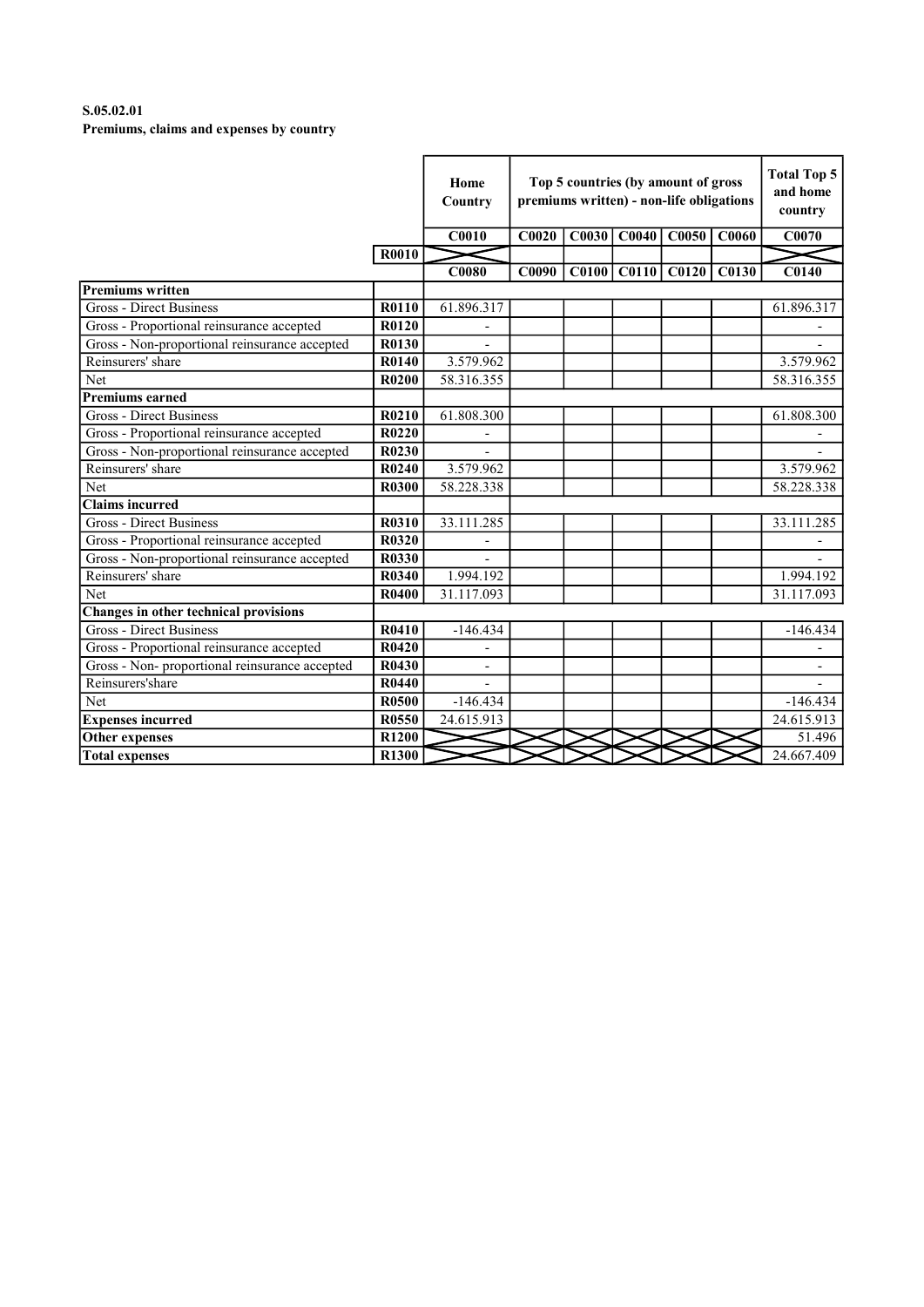# S.05.02.01 Premiums, claims and expenses by country

|                                                |              | Home<br>Country          |              | Top 5 countries (by amount of gross<br>premiums written) - non-life obligations |       |                         |       |                          |  |
|------------------------------------------------|--------------|--------------------------|--------------|---------------------------------------------------------------------------------|-------|-------------------------|-------|--------------------------|--|
|                                                |              | <b>C0010</b>             | C0020        | C0030                                                                           | C0040 | <b>C0050</b>            | C0060 | C0070                    |  |
|                                                | <b>R0010</b> |                          |              |                                                                                 |       |                         |       |                          |  |
|                                                |              | <b>C0080</b>             | <b>C0090</b> |                                                                                 |       | $C0100$ $C0110$ $C0120$ | C0130 | <b>C0140</b>             |  |
| <b>Premiums written</b>                        |              |                          |              |                                                                                 |       |                         |       |                          |  |
| <b>Gross - Direct Business</b>                 | R0110        | 61.896.317               |              |                                                                                 |       |                         |       | 61.896.317               |  |
| Gross - Proportional reinsurance accepted      | <b>R0120</b> |                          |              |                                                                                 |       |                         |       |                          |  |
| Gross - Non-proportional reinsurance accepted  | R0130        |                          |              |                                                                                 |       |                         |       |                          |  |
| Reinsurers' share                              | R0140        | 3.579.962                |              |                                                                                 |       |                         |       | 3.579.962                |  |
| Net                                            | R0200        | 58.316.355               |              |                                                                                 |       |                         |       | 58.316.355               |  |
| <b>Premiums earned</b>                         |              |                          |              |                                                                                 |       |                         |       |                          |  |
| <b>Gross - Direct Business</b>                 | R0210        | 61.808.300               |              |                                                                                 |       |                         |       | 61.808.300               |  |
| Gross - Proportional reinsurance accepted      | R0220        |                          |              |                                                                                 |       |                         |       |                          |  |
| Gross - Non-proportional reinsurance accepted  | R0230        |                          |              |                                                                                 |       |                         |       |                          |  |
| Reinsurers' share                              | R0240        | 3.579.962                |              |                                                                                 |       |                         |       | 3.579.962                |  |
| Net                                            | <b>R0300</b> | 58.228.338               |              |                                                                                 |       |                         |       | 58.228.338               |  |
| <b>Claims incurred</b>                         |              |                          |              |                                                                                 |       |                         |       |                          |  |
| Gross - Direct Business                        | <b>R0310</b> | 33.111.285               |              |                                                                                 |       |                         |       | 33.111.285               |  |
| Gross - Proportional reinsurance accepted      | <b>R0320</b> |                          |              |                                                                                 |       |                         |       |                          |  |
| Gross - Non-proportional reinsurance accepted  | <b>R0330</b> |                          |              |                                                                                 |       |                         |       |                          |  |
| Reinsurers' share                              | <b>R0340</b> | 1.994.192                |              |                                                                                 |       |                         |       | 1.994.192                |  |
| Net                                            | R0400        | 31.117.093               |              |                                                                                 |       |                         |       | 31.117.093               |  |
| Changes in other technical provisions          |              |                          |              |                                                                                 |       |                         |       |                          |  |
| <b>Gross - Direct Business</b>                 | R0410        | $-146.434$               |              |                                                                                 |       |                         |       | $-146.434$               |  |
| Gross - Proportional reinsurance accepted      | R0420        |                          |              |                                                                                 |       |                         |       |                          |  |
| Gross - Non- proportional reinsurance accepted | R0430        | $\overline{\phantom{a}}$ |              |                                                                                 |       |                         |       | $\overline{\phantom{a}}$ |  |
| Reinsurers'share                               | R0440        |                          |              |                                                                                 |       |                         |       |                          |  |
| Net                                            | <b>R0500</b> | $-146.434$               |              |                                                                                 |       |                         |       | $-146.434$               |  |
| <b>Expenses incurred</b>                       | R0550        | 24.615.913               |              |                                                                                 |       |                         |       | 24.615.913               |  |
| <b>Other expenses</b>                          | R1200        |                          |              |                                                                                 |       |                         |       | 51.496                   |  |
| <b>Total expenses</b>                          | <b>R1300</b> |                          |              |                                                                                 |       |                         |       | 24.667.409               |  |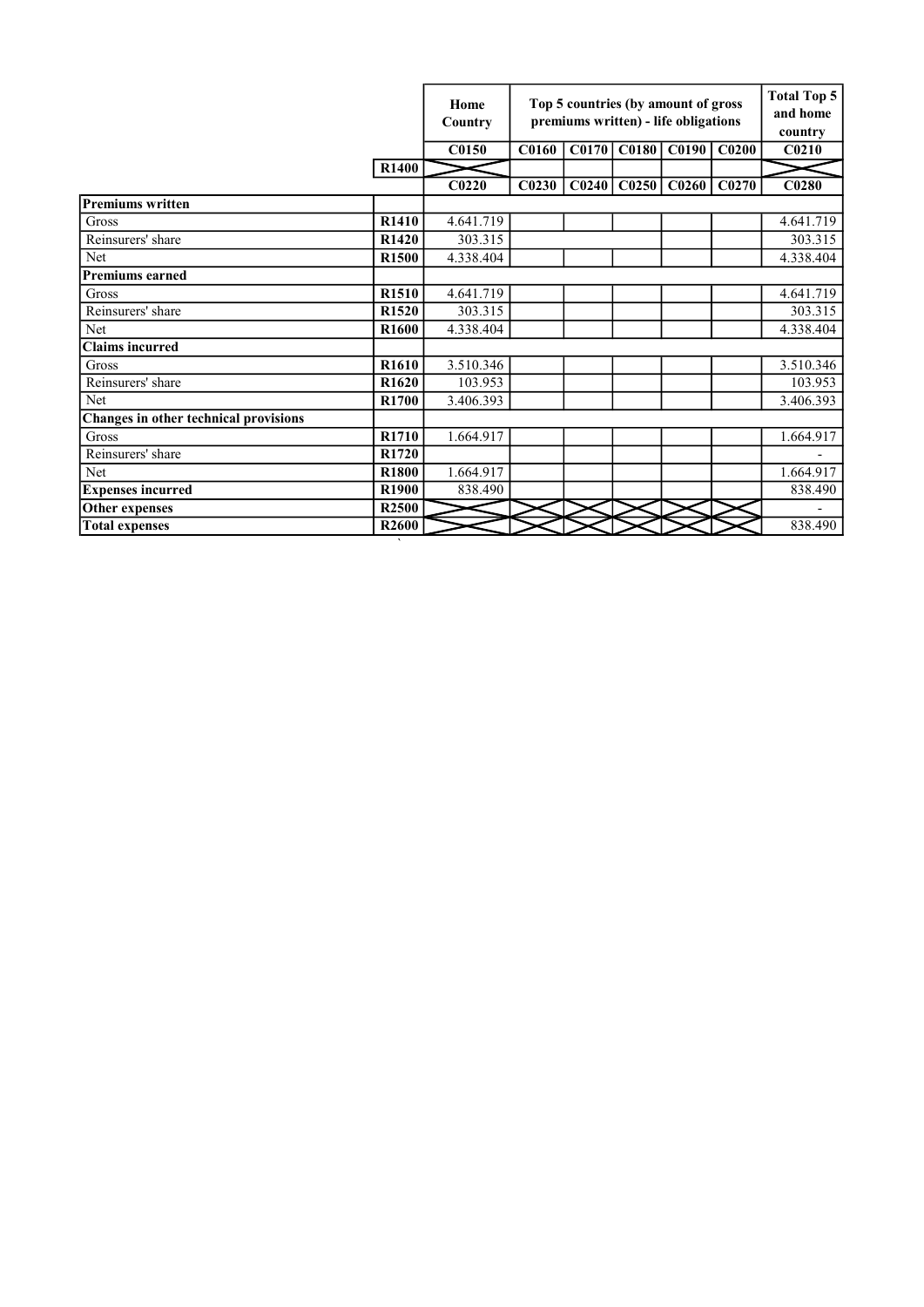|                                       |                   | Home<br>Country   |                   | Top 5 countries (by amount of gross<br>premiums written) - life obligations |                   |                         |       |                   |  |  |
|---------------------------------------|-------------------|-------------------|-------------------|-----------------------------------------------------------------------------|-------------------|-------------------------|-------|-------------------|--|--|
|                                       |                   | C0150             | <b>C0160</b>      |                                                                             |                   | C0170 C0180 C0190 C0200 |       | C <sub>0210</sub> |  |  |
|                                       | <b>R1400</b>      |                   |                   |                                                                             |                   |                         |       |                   |  |  |
|                                       |                   | C <sub>0220</sub> | C <sub>0230</sub> | CO <sub>240</sub>                                                           | CO <sub>250</sub> | CO <sub>260</sub>       | C0270 | C0280             |  |  |
| <b>Premiums written</b>               |                   |                   |                   |                                                                             |                   |                         |       |                   |  |  |
| Gross                                 | R1410             | 4.641.719         |                   |                                                                             |                   |                         |       | 4.641.719         |  |  |
| Reinsurers' share                     | R1420             | 303.315           |                   |                                                                             |                   |                         |       | 303.315           |  |  |
| Net                                   | R1500             | 4.338.404         |                   |                                                                             |                   |                         |       | 4.338.404         |  |  |
| <b>Premiums earned</b>                |                   |                   |                   |                                                                             |                   |                         |       |                   |  |  |
| Gross                                 | R1510             | 4.641.719         |                   |                                                                             |                   |                         |       | 4.641.719         |  |  |
| Reinsurers' share                     | R1520             | 303.315           |                   |                                                                             |                   |                         |       | 303.315           |  |  |
| Net                                   | R <sub>1600</sub> | 4.338.404         |                   |                                                                             |                   |                         |       | 4.338.404         |  |  |
| <b>Claims</b> incurred                |                   |                   |                   |                                                                             |                   |                         |       |                   |  |  |
| Gross                                 | R <sub>1610</sub> | 3.510.346         |                   |                                                                             |                   |                         |       | 3.510.346         |  |  |
| Reinsurers' share                     | R <sub>1620</sub> | 103.953           |                   |                                                                             |                   |                         |       | 103.953           |  |  |
| Net                                   | R <sub>1700</sub> | 3.406.393         |                   |                                                                             |                   |                         |       | 3.406.393         |  |  |
| Changes in other technical provisions |                   |                   |                   |                                                                             |                   |                         |       |                   |  |  |
| <b>Gross</b>                          | R <sub>1710</sub> | 1.664.917         |                   |                                                                             |                   |                         |       | 1.664.917         |  |  |
| Reinsurers' share                     | R1720             |                   |                   |                                                                             |                   |                         |       |                   |  |  |
| Net                                   | R1800             | 1.664.917         |                   |                                                                             |                   |                         |       | 1.664.917         |  |  |
| <b>Expenses incurred</b>              | R1900             | 838.490           |                   |                                                                             |                   |                         |       | 838.490           |  |  |
| Other expenses                        | R <sub>2500</sub> |                   |                   |                                                                             |                   |                         |       |                   |  |  |
| <b>Total expenses</b>                 | R <sub>2600</sub> |                   |                   |                                                                             |                   |                         |       | 838.490           |  |  |

`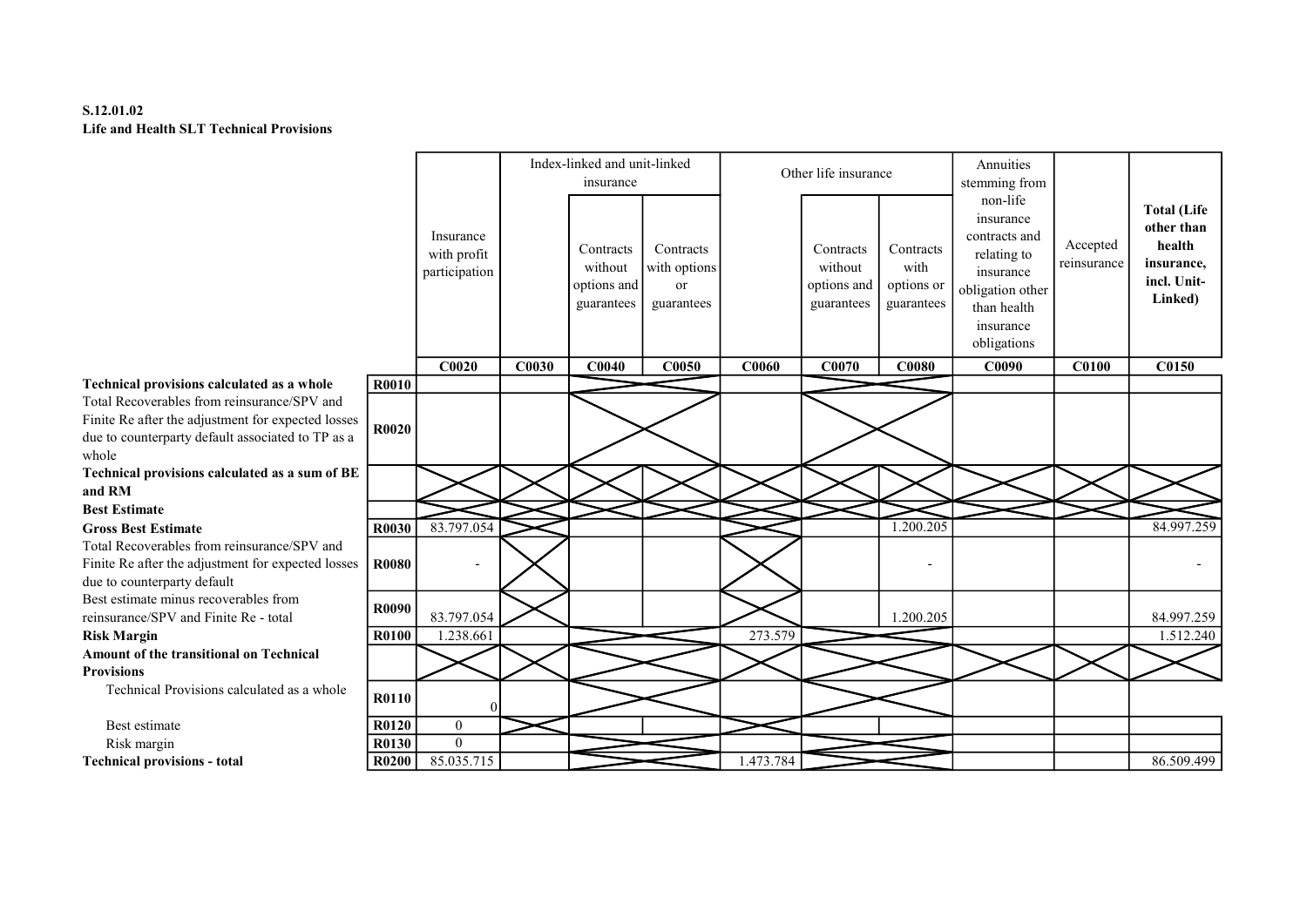# S.12.01.02 Life and Health SLT Technical Provisions

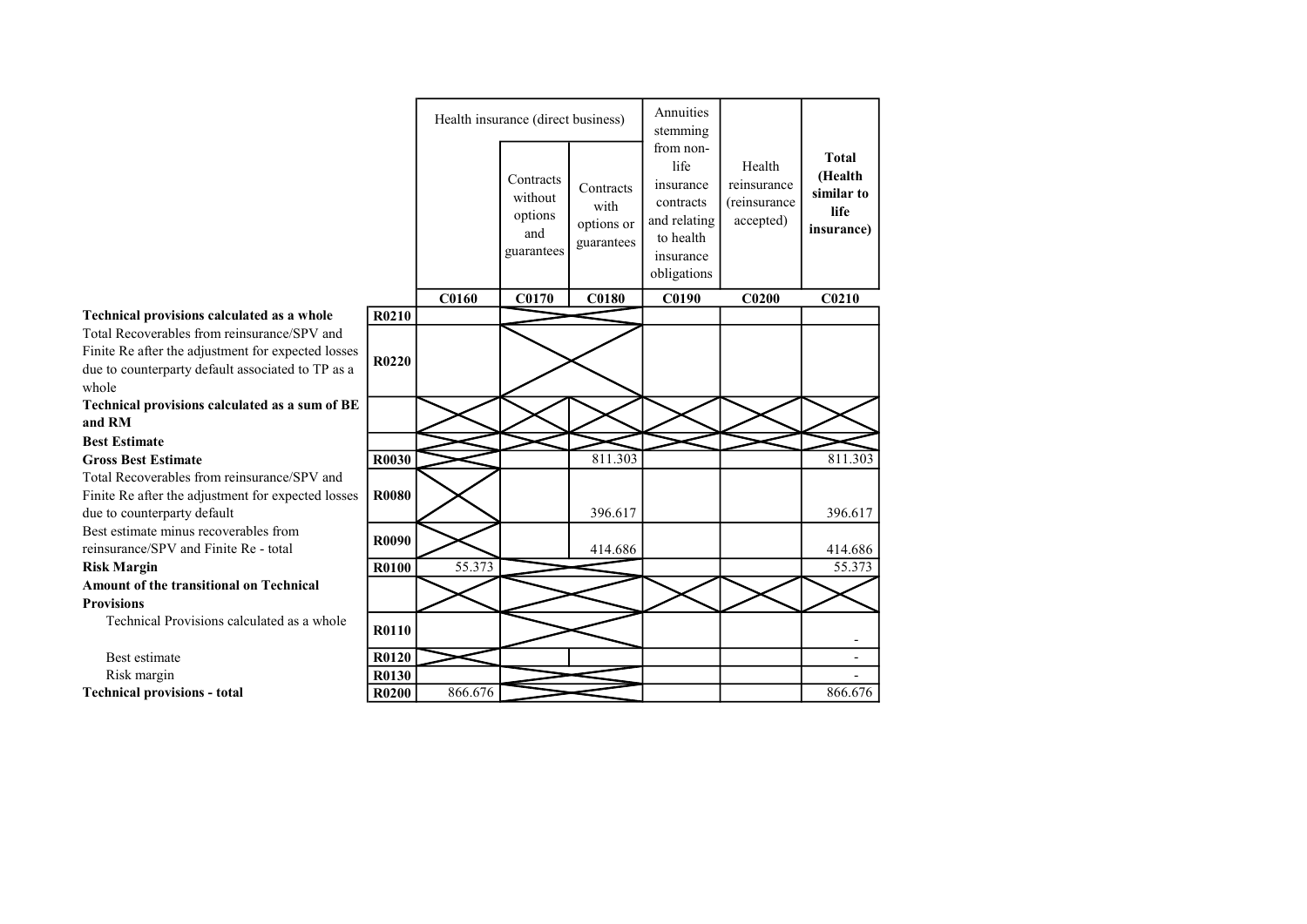|                                                                                                                                                                 |              |              | Health insurance (direct business)                   |                                               | Annuities<br>stemming                                                                                |                                                    |                                                             |
|-----------------------------------------------------------------------------------------------------------------------------------------------------------------|--------------|--------------|------------------------------------------------------|-----------------------------------------------|------------------------------------------------------------------------------------------------------|----------------------------------------------------|-------------------------------------------------------------|
|                                                                                                                                                                 |              |              | Contracts<br>without<br>options<br>and<br>guarantees | Contracts<br>with<br>options or<br>guarantees | from non-<br>life<br>insurance<br>contracts<br>and relating<br>to health<br>insurance<br>obligations | Health<br>reinsurance<br>(reinsurance<br>accepted) | <b>Total</b><br>(Health<br>similar to<br>life<br>insurance) |
|                                                                                                                                                                 |              | <b>C0160</b> | C0170                                                | <b>C0180</b>                                  | C0190                                                                                                | C <sub>0200</sub>                                  | C0210                                                       |
| Technical provisions calculated as a whole                                                                                                                      | R0210        |              |                                                      |                                               |                                                                                                      |                                                    |                                                             |
| Total Recoverables from reinsurance/SPV and<br>Finite Re after the adjustment for expected losses<br>due to counterparty default associated to TP as a<br>whole | R0220        |              |                                                      |                                               |                                                                                                      |                                                    |                                                             |
| Technical provisions calculated as a sum of BE                                                                                                                  |              |              |                                                      |                                               |                                                                                                      |                                                    |                                                             |
| and RM                                                                                                                                                          |              |              |                                                      |                                               |                                                                                                      |                                                    |                                                             |
| <b>Best Estimate</b>                                                                                                                                            |              |              |                                                      |                                               |                                                                                                      |                                                    |                                                             |
| <b>Gross Best Estimate</b>                                                                                                                                      | R0030        |              |                                                      | 811.303                                       |                                                                                                      |                                                    | 811.303                                                     |
| Total Recoverables from reinsurance/SPV and                                                                                                                     |              |              |                                                      |                                               |                                                                                                      |                                                    |                                                             |
| Finite Re after the adjustment for expected losses<br>due to counterparty default                                                                               | <b>R0080</b> |              |                                                      | 396.617                                       |                                                                                                      |                                                    | 396.617                                                     |
| Best estimate minus recoverables from                                                                                                                           |              |              |                                                      |                                               |                                                                                                      |                                                    |                                                             |
| reinsurance/SPV and Finite Re - total                                                                                                                           | R0090        |              |                                                      | 414.686                                       |                                                                                                      |                                                    | 414.686                                                     |
| <b>Risk Margin</b>                                                                                                                                              | <b>R0100</b> | 55.373       |                                                      |                                               |                                                                                                      |                                                    | 55.373                                                      |
| <b>Amount of the transitional on Technical</b>                                                                                                                  |              |              |                                                      |                                               |                                                                                                      |                                                    |                                                             |
| <b>Provisions</b>                                                                                                                                               |              |              |                                                      |                                               |                                                                                                      |                                                    |                                                             |
| Technical Provisions calculated as a whole                                                                                                                      | R0110        |              |                                                      |                                               |                                                                                                      |                                                    |                                                             |
| Best estimate                                                                                                                                                   | R0120        |              |                                                      |                                               |                                                                                                      |                                                    | $\blacksquare$                                              |
| Risk margin                                                                                                                                                     | R0130        |              |                                                      |                                               |                                                                                                      |                                                    |                                                             |
| <b>Technical provisions - total</b>                                                                                                                             | <b>R0200</b> | 866.676      |                                                      |                                               |                                                                                                      |                                                    | 866.676                                                     |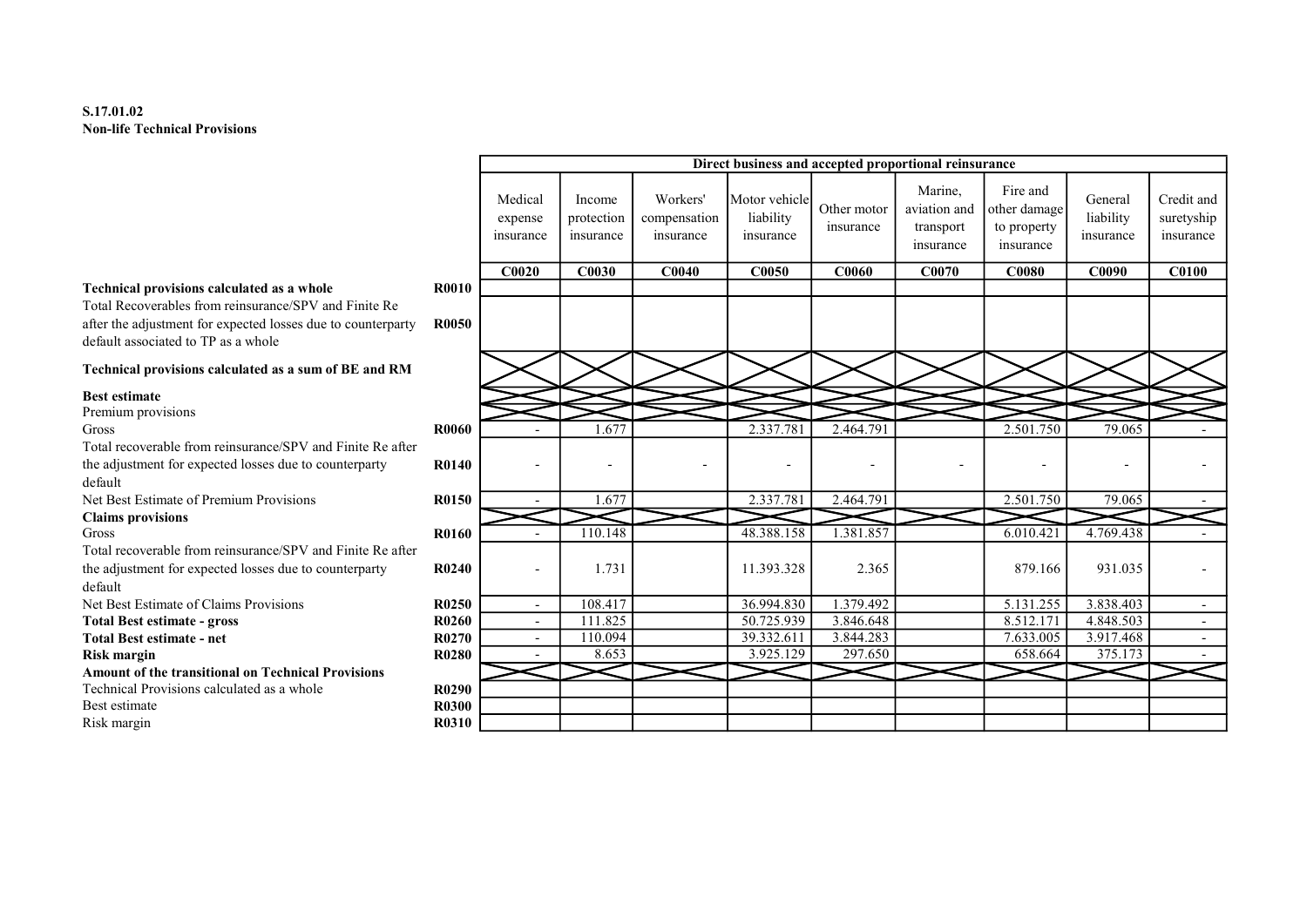# S.17.01.02 Non-life Technical Provisions

|                                                                                                                                                                                                            |                              |                                 |                                   |                                       |                                         |                          | Direct business and accepted proportional reinsurance |                                                      |                                   |                                       |
|------------------------------------------------------------------------------------------------------------------------------------------------------------------------------------------------------------|------------------------------|---------------------------------|-----------------------------------|---------------------------------------|-----------------------------------------|--------------------------|-------------------------------------------------------|------------------------------------------------------|-----------------------------------|---------------------------------------|
|                                                                                                                                                                                                            |                              | Medical<br>expense<br>insurance | Income<br>protection<br>insurance | Workers'<br>compensation<br>insurance | Motor vehicle<br>liability<br>insurance | Other motor<br>insurance | Marine,<br>aviation and<br>transport<br>insurance     | Fire and<br>other damage<br>to property<br>insurance | General<br>liability<br>insurance | Credit and<br>suretyship<br>insurance |
|                                                                                                                                                                                                            |                              | C0020                           | C0030                             | C <sub>0040</sub>                     | C0050                                   | <b>C0060</b>             | C0070                                                 | <b>C0080</b>                                         | C0090                             | <b>C0100</b>                          |
| Technical provisions calculated as a whole<br>Total Recoverables from reinsurance/SPV and Finite Re<br>after the adjustment for expected losses due to counterparty<br>default associated to TP as a whole | <b>R0010</b><br><b>R0050</b> |                                 |                                   |                                       |                                         |                          |                                                       |                                                      |                                   |                                       |
| Technical provisions calculated as a sum of BE and RM                                                                                                                                                      |                              |                                 |                                   |                                       |                                         |                          |                                                       |                                                      |                                   |                                       |
| <b>Best estimate</b>                                                                                                                                                                                       |                              |                                 |                                   |                                       |                                         |                          |                                                       |                                                      |                                   |                                       |
| Premium provisions                                                                                                                                                                                         |                              |                                 |                                   |                                       |                                         |                          |                                                       |                                                      |                                   |                                       |
| Gross                                                                                                                                                                                                      | <b>R0060</b>                 |                                 | 1.677                             |                                       | 2.337.781                               | 2.464.791                |                                                       | 2.501.750                                            | 79.065                            |                                       |
| Total recoverable from reinsurance/SPV and Finite Re after                                                                                                                                                 |                              |                                 |                                   |                                       |                                         |                          |                                                       |                                                      |                                   |                                       |
| the adjustment for expected losses due to counterparty<br>default                                                                                                                                          | <b>R0140</b>                 |                                 |                                   |                                       |                                         |                          |                                                       |                                                      |                                   |                                       |
| Net Best Estimate of Premium Provisions                                                                                                                                                                    | R0150                        |                                 | 1.677                             |                                       | 2.337.781                               | 2.464.791                |                                                       | 2.501.750                                            | 79.065                            |                                       |
| <b>Claims provisions</b>                                                                                                                                                                                   |                              |                                 |                                   |                                       |                                         |                          |                                                       |                                                      |                                   |                                       |
| Gross                                                                                                                                                                                                      | <b>R0160</b>                 |                                 | 110.148                           |                                       | 48.388.158                              | 1.381.857                |                                                       | 6.010.421                                            | 4.769.438                         |                                       |
| Total recoverable from reinsurance/SPV and Finite Re after                                                                                                                                                 |                              |                                 |                                   |                                       |                                         |                          |                                                       |                                                      |                                   |                                       |
| the adjustment for expected losses due to counterparty<br>default                                                                                                                                          | R0240                        |                                 | 1.731                             |                                       | 11.393.328                              | 2.365                    |                                                       | 879.166                                              | 931.035                           |                                       |
| Net Best Estimate of Claims Provisions                                                                                                                                                                     | R <sub>0250</sub>            | $\sim$                          | 108.417                           |                                       | 36.994.830                              | 1.379.492                |                                                       | 5.131.255                                            | 3.838.403                         | $\sim$                                |
| <b>Total Best estimate - gross</b>                                                                                                                                                                         | <b>R0260</b>                 | $\overline{\phantom{0}}$        | 111.825                           |                                       | 50.725.939                              | 3.846.648                |                                                       | 8.512.171                                            | 4.848.503                         | $\overline{\phantom{0}}$              |
| <b>Total Best estimate - net</b>                                                                                                                                                                           | R0270                        |                                 | 110.094                           |                                       | 39.332.611                              | 3.844.283                |                                                       | 7.633.005                                            | 3.917.468                         | $\overline{\phantom{a}}$              |
| <b>Risk margin</b>                                                                                                                                                                                         | <b>R0280</b>                 |                                 | 8.653                             |                                       | 3.925.129                               | 297.650                  |                                                       | 658.664                                              | 375.173                           |                                       |
| <b>Amount of the transitional on Technical Provisions</b>                                                                                                                                                  |                              |                                 |                                   |                                       |                                         |                          |                                                       |                                                      |                                   |                                       |
| Technical Provisions calculated as a whole                                                                                                                                                                 | R0290                        |                                 |                                   |                                       |                                         |                          |                                                       |                                                      |                                   |                                       |
| Best estimate                                                                                                                                                                                              | <b>R0300</b>                 |                                 |                                   |                                       |                                         |                          |                                                       |                                                      |                                   |                                       |
| Risk margin                                                                                                                                                                                                | R0310                        |                                 |                                   |                                       |                                         |                          |                                                       |                                                      |                                   |                                       |
|                                                                                                                                                                                                            |                              |                                 |                                   |                                       |                                         |                          |                                                       |                                                      |                                   |                                       |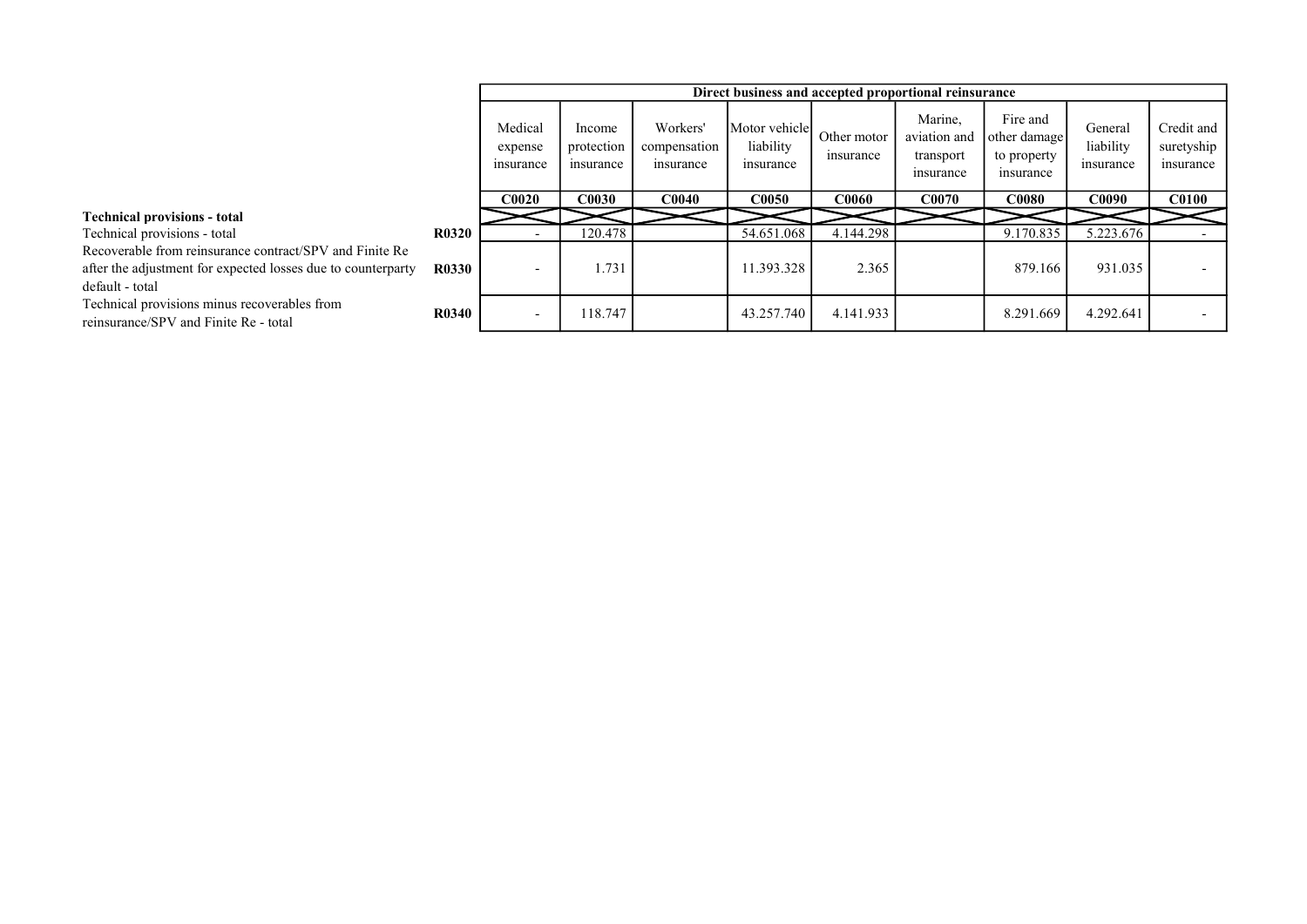|                                                                                                                                            |              |                                 |                                   |                                       |                                         |                          | Direct business and accepted proportional reinsurance |                                                      |                                   |                                       |
|--------------------------------------------------------------------------------------------------------------------------------------------|--------------|---------------------------------|-----------------------------------|---------------------------------------|-----------------------------------------|--------------------------|-------------------------------------------------------|------------------------------------------------------|-----------------------------------|---------------------------------------|
|                                                                                                                                            |              | Medical<br>expense<br>insurance | Income<br>protection<br>insurance | Workers'<br>compensation<br>insurance | Motor vehicle<br>liability<br>insurance | Other motor<br>insurance | Marine,<br>aviation and<br>transport<br>insurance     | Fire and<br>other damage<br>to property<br>insurance | General<br>liability<br>insurance | Credit and<br>suretyship<br>insurance |
|                                                                                                                                            |              | <b>C0020</b>                    | <b>C0030</b>                      | C <sub>0040</sub>                     | <b>C0050</b>                            | <b>C0060</b>             | <b>C0070</b>                                          | <b>C0080</b>                                         | <b>C0090</b>                      | <b>C0100</b>                          |
| <b>Technical provisions - total</b>                                                                                                        |              |                                 |                                   |                                       |                                         |                          |                                                       |                                                      |                                   |                                       |
| Technical provisions - total                                                                                                               | <b>R0320</b> |                                 | 120.478                           |                                       | 54.651.068                              | 4.144.298                |                                                       | 9.170.835                                            | 5.223.676                         |                                       |
| Recoverable from reinsurance contract/SPV and Finite Re<br>after the adjustment for expected losses due to counterparty<br>default - total | <b>R0330</b> |                                 | 1.731                             |                                       | 11.393.328                              | 2.365                    |                                                       | 879.166                                              | 931.035                           |                                       |
| Technical provisions minus recoverables from<br>reinsurance/SPV and Finite Re - total                                                      | <b>R0340</b> |                                 | 118.747                           |                                       | 43.257.740                              | 4.141.933                |                                                       | 8.291.669                                            | 4.292.641                         |                                       |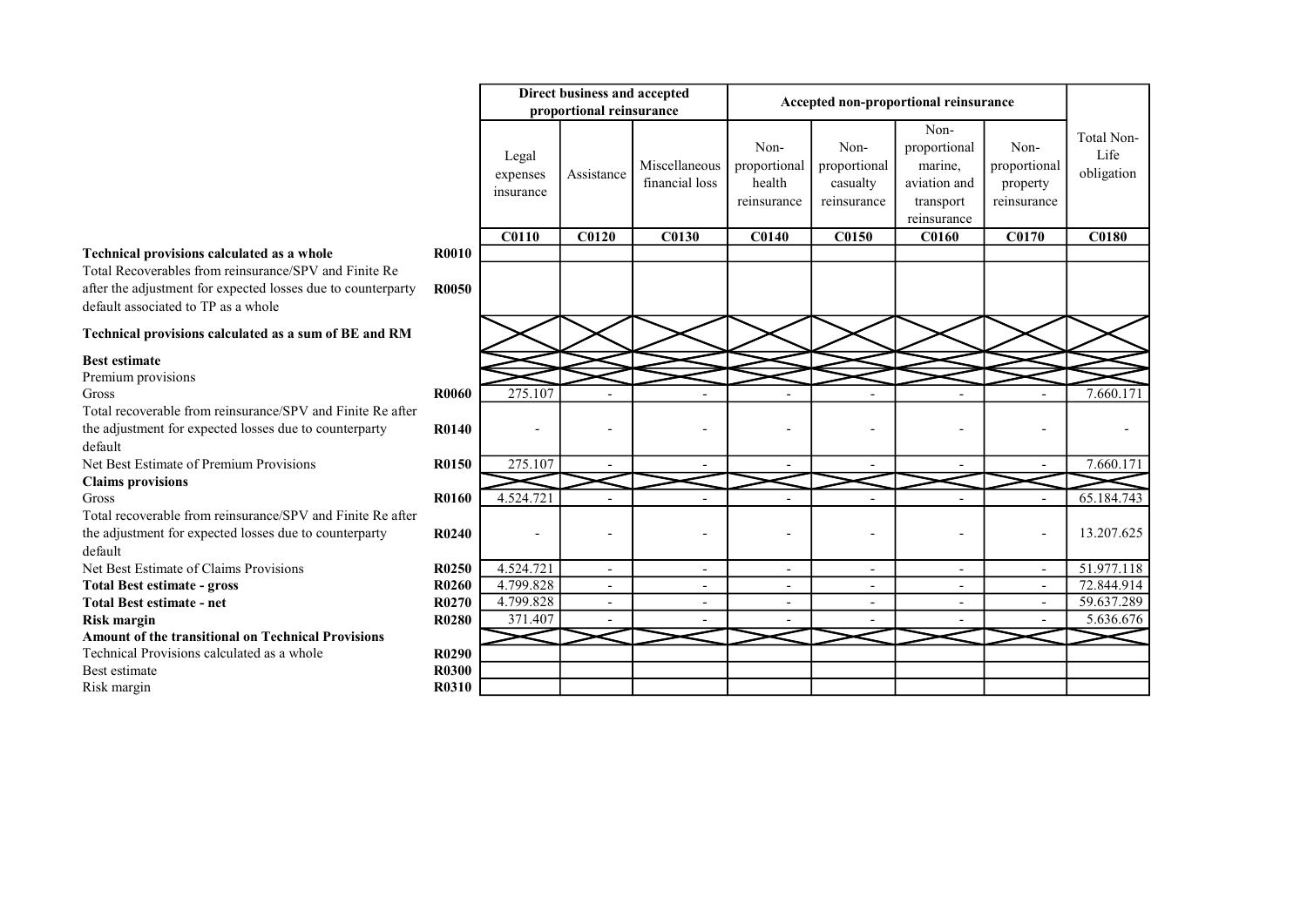# Technical provisions calculated as a whole

#### Technical provisions calculated as a sum of BE and RM

# Best estimate

Risk margin

|                                                                                                                                                                                                            |                       |                                | Direct business and accepted |                                 |                                               |                                                 | Accepted non-proportional reinsurance                                       |                                                 |                                  |
|------------------------------------------------------------------------------------------------------------------------------------------------------------------------------------------------------------|-----------------------|--------------------------------|------------------------------|---------------------------------|-----------------------------------------------|-------------------------------------------------|-----------------------------------------------------------------------------|-------------------------------------------------|----------------------------------|
|                                                                                                                                                                                                            |                       |                                | proportional reinsurance     |                                 |                                               |                                                 |                                                                             |                                                 |                                  |
|                                                                                                                                                                                                            |                       | Legal<br>expenses<br>insurance | Assistance                   | Miscellaneous<br>financial loss | Non-<br>proportional<br>health<br>reinsurance | Non-<br>proportional<br>casualty<br>reinsurance | Non-<br>proportional<br>marine,<br>aviation and<br>transport<br>reinsurance | Non-<br>proportional<br>property<br>reinsurance | Total Non-<br>Life<br>obligation |
|                                                                                                                                                                                                            |                       | <b>C0110</b>                   | C0120                        | C0130                           | <b>C0140</b>                                  | <b>C0150</b>                                    | <b>C0160</b>                                                                | <b>C0170</b>                                    | <b>C0180</b>                     |
| Technical provisions calculated as a whole<br>Total Recoverables from reinsurance/SPV and Finite Re<br>after the adjustment for expected losses due to counterparty<br>default associated to TP as a whole | <b>R0010</b><br>R0050 |                                |                              |                                 |                                               |                                                 |                                                                             |                                                 |                                  |
| Technical provisions calculated as a sum of BE and RM                                                                                                                                                      |                       |                                |                              |                                 |                                               |                                                 |                                                                             |                                                 |                                  |
| <b>Best estimate</b>                                                                                                                                                                                       |                       |                                |                              |                                 |                                               |                                                 |                                                                             |                                                 |                                  |
| Premium provisions                                                                                                                                                                                         |                       |                                |                              |                                 |                                               |                                                 |                                                                             |                                                 |                                  |
| Gross                                                                                                                                                                                                      | <b>R0060</b>          | 275.107                        |                              |                                 |                                               |                                                 |                                                                             |                                                 | 7.660.171                        |
| Total recoverable from reinsurance/SPV and Finite Re after                                                                                                                                                 |                       |                                |                              |                                 |                                               |                                                 |                                                                             |                                                 |                                  |
| the adjustment for expected losses due to counterparty<br>default                                                                                                                                          | R0140                 |                                |                              |                                 |                                               |                                                 |                                                                             |                                                 |                                  |
| Net Best Estimate of Premium Provisions                                                                                                                                                                    | R0150                 | 275.107                        |                              |                                 |                                               |                                                 |                                                                             |                                                 | 7.660.171                        |
| <b>Claims provisions</b>                                                                                                                                                                                   |                       |                                |                              |                                 |                                               |                                                 |                                                                             |                                                 |                                  |
| Gross                                                                                                                                                                                                      | <b>R0160</b>          | 4.524.721                      |                              |                                 |                                               |                                                 |                                                                             |                                                 | 65.184.743                       |
| Total recoverable from reinsurance/SPV and Finite Re after                                                                                                                                                 |                       |                                |                              |                                 |                                               |                                                 |                                                                             |                                                 |                                  |
| the adjustment for expected losses due to counterparty<br>default                                                                                                                                          | R0240                 |                                |                              |                                 |                                               |                                                 |                                                                             |                                                 | 13.207.625                       |
| Net Best Estimate of Claims Provisions                                                                                                                                                                     | R0250                 | 4.524.721                      | $\overline{\phantom{a}}$     | $\overline{\phantom{0}}$        | $\overline{a}$                                | $\overline{\phantom{a}}$                        | $\overline{\phantom{a}}$                                                    | $\overline{\phantom{a}}$                        | 51.977.118                       |
| <b>Total Best estimate - gross</b>                                                                                                                                                                         | R0260                 | 4.799.828                      | $\overline{\phantom{a}}$     | $\overline{\phantom{a}}$        | $\overline{\phantom{a}}$                      | $\overline{\phantom{a}}$                        | $\overline{\phantom{a}}$                                                    | $\overline{\phantom{a}}$                        | 72.844.914                       |
| <b>Total Best estimate - net</b>                                                                                                                                                                           | R0270                 | 4.799.828                      |                              |                                 | $\overline{a}$                                | $\overline{\phantom{a}}$                        |                                                                             |                                                 | 59.637.289                       |
| Risk margin                                                                                                                                                                                                | <b>R0280</b>          | 371.407                        |                              |                                 |                                               |                                                 |                                                                             |                                                 | 5.636.676                        |
| <b>Amount of the transitional on Technical Provisions</b>                                                                                                                                                  |                       |                                |                              |                                 |                                               |                                                 |                                                                             |                                                 |                                  |
| Technical Provisions calculated as a whole                                                                                                                                                                 | R0290                 |                                |                              |                                 |                                               |                                                 |                                                                             |                                                 |                                  |
| <b>Best estimate</b>                                                                                                                                                                                       | <b>R0300</b>          |                                |                              |                                 |                                               |                                                 |                                                                             |                                                 |                                  |
| Risk margin                                                                                                                                                                                                | R0310                 |                                |                              |                                 |                                               |                                                 |                                                                             |                                                 |                                  |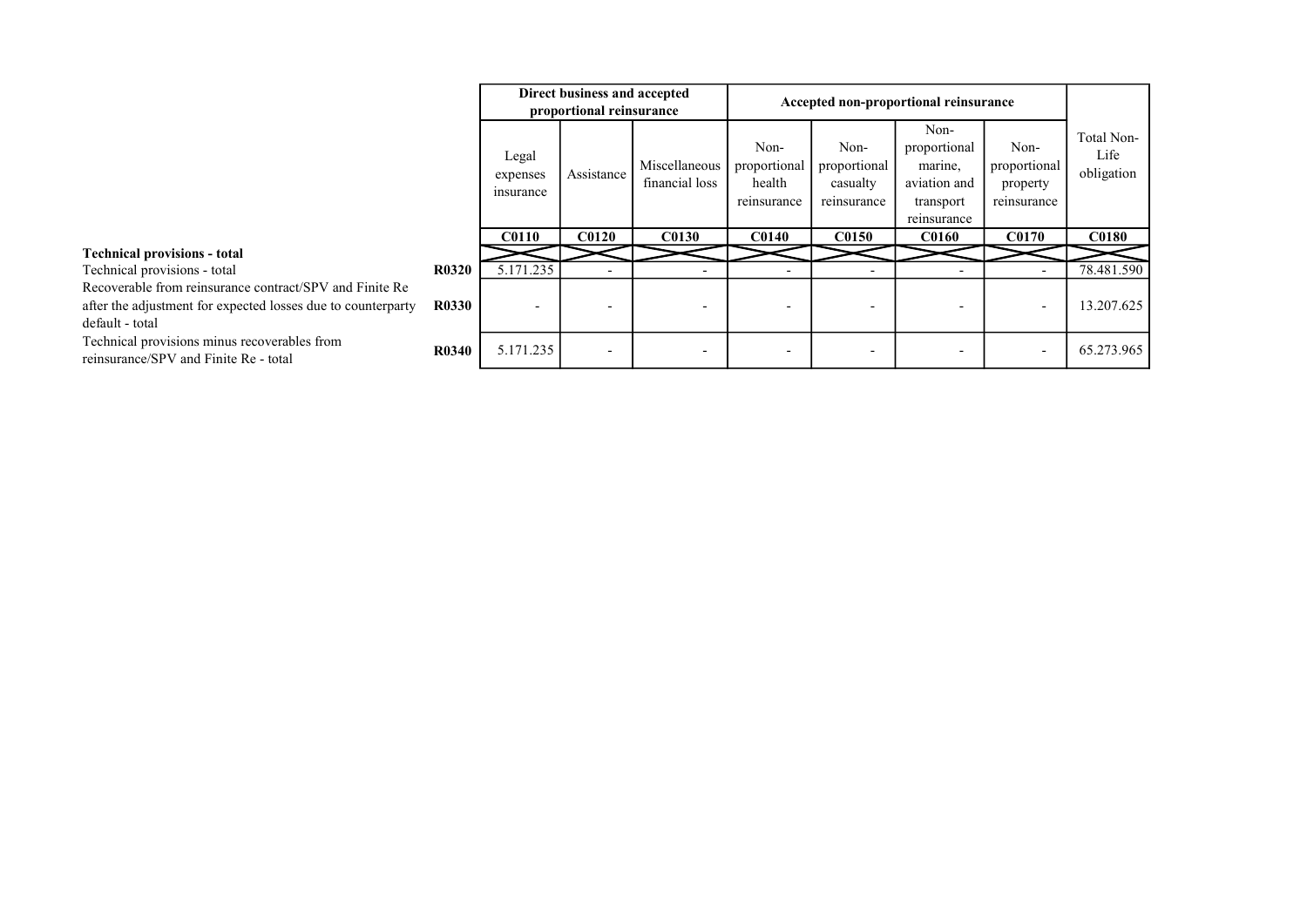|                                                                                                                                            |              |                                | Direct business and accepted<br>proportional reinsurance |                                 |                                               |                                                 | Accepted non-proportional reinsurance                                       |                                                 |                                  |
|--------------------------------------------------------------------------------------------------------------------------------------------|--------------|--------------------------------|----------------------------------------------------------|---------------------------------|-----------------------------------------------|-------------------------------------------------|-----------------------------------------------------------------------------|-------------------------------------------------|----------------------------------|
|                                                                                                                                            |              | Legal<br>expenses<br>insurance | Assistance                                               | Miscellaneous<br>financial loss | Non-<br>proportional<br>health<br>reinsurance | Non-<br>proportional<br>casualty<br>reinsurance | Non-<br>proportional<br>marine,<br>aviation and<br>transport<br>reinsurance | Non-<br>proportional<br>property<br>reinsurance | Total Non-<br>Life<br>obligation |
|                                                                                                                                            |              | <b>C0110</b>                   | <b>C0120</b>                                             | <b>C0130</b>                    | <b>C0140</b>                                  | <b>C0150</b>                                    | <b>C0160</b>                                                                | <b>C0170</b>                                    | <b>C0180</b>                     |
| <b>Technical provisions - total</b>                                                                                                        |              |                                |                                                          |                                 |                                               |                                                 |                                                                             |                                                 |                                  |
| Technical provisions - total                                                                                                               | <b>R0320</b> | 5.171.235                      |                                                          |                                 |                                               |                                                 |                                                                             |                                                 | 78.481.590                       |
| Recoverable from reinsurance contract/SPV and Finite Re<br>after the adjustment for expected losses due to counterparty<br>default - total | <b>R0330</b> |                                |                                                          |                                 |                                               |                                                 |                                                                             | $\overline{\phantom{0}}$                        | 13.207.625                       |
| Technical provisions minus recoverables from<br>reinsurance/SPV and Finite Re - total                                                      | <b>R0340</b> | 5.171.235                      | $\overline{\phantom{a}}$                                 |                                 |                                               |                                                 |                                                                             | $\overline{\phantom{a}}$                        | 65.273.965                       |

#### Technical provisions - total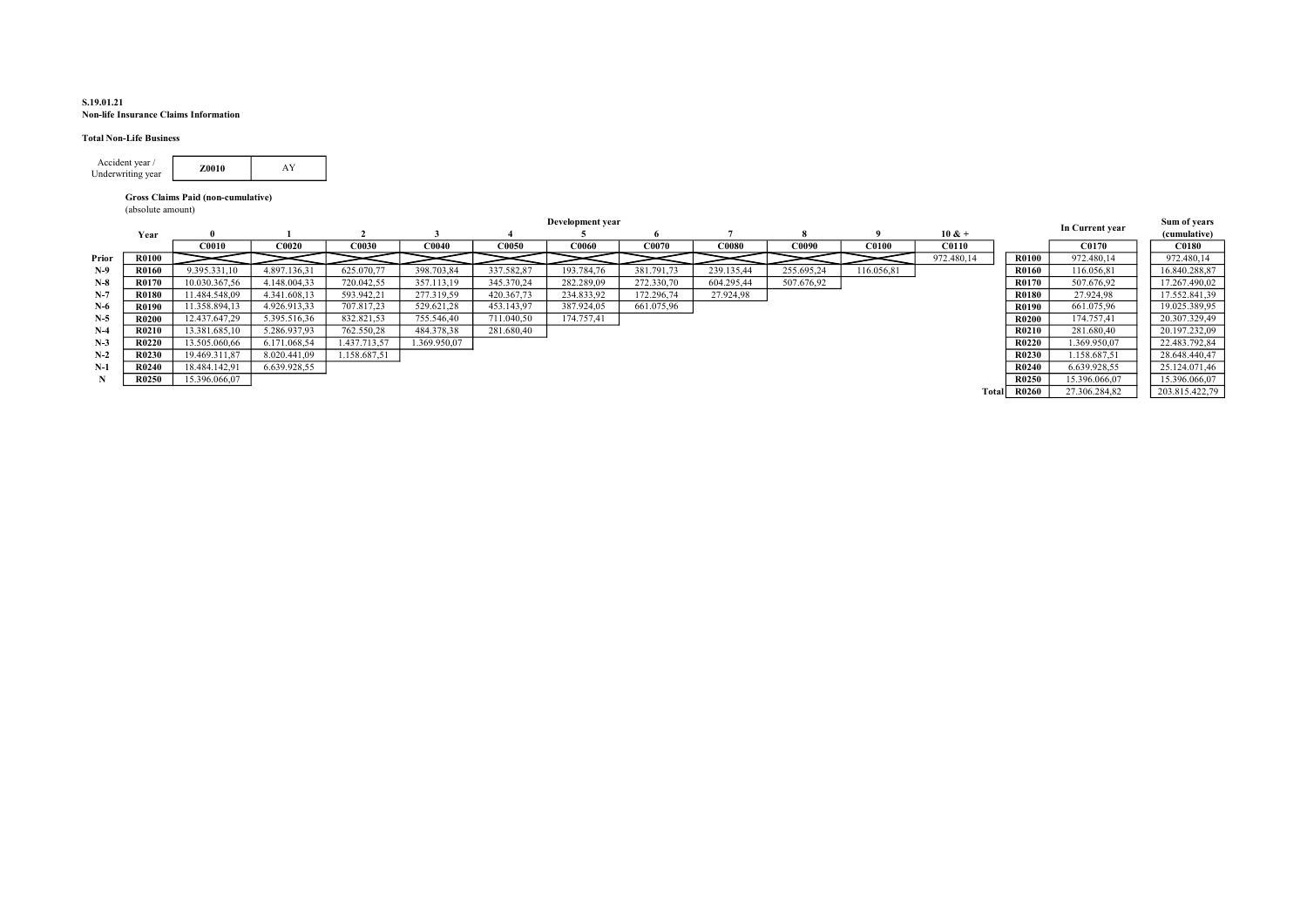#### S.19.01.21 Non-life Insurance Claims Information

#### Total Non-Life Business

| Accident vear /<br>Underwriting year | 70010 |  |
|--------------------------------------|-------|--|
|                                      |       |  |

#### Gross Claims Paid (non-cumulative)

(absolute amount)

|       |              |               |              |              |                   |              | Development year |            |              |            |              |              |              | In Current year | Sum of years   |
|-------|--------------|---------------|--------------|--------------|-------------------|--------------|------------------|------------|--------------|------------|--------------|--------------|--------------|-----------------|----------------|
|       | Year         |               |              |              |                   |              |                  |            |              |            |              | $10 & +$     |              |                 | (cumulative)   |
|       |              | <b>C0010</b>  | <b>C0020</b> | C0030        | CO <sub>040</sub> | <b>C0050</b> | <b>C0060</b>     | C0070      | <b>C0080</b> | C0090      | <b>C0100</b> | <b>C0110</b> |              | C0170           | <b>C0180</b>   |
| Prior | <b>R0100</b> |               |              |              |                   |              |                  |            |              |            |              | 972.480,14   | <b>R0100</b> | 972.480,14      | 972.480,14     |
| $N-9$ | R0160        | 9.395.331,10  | 4.897.136.31 | 625.070,77   | 398.703,84        | 337.582,87   | 193.784,76       | 381.791,73 | 239.135,44   | 255.695,24 | 116.056,81   |              | <b>R0160</b> | 116.056,81      | 16.840.288,87  |
| $N-8$ | R0170        | 10.030.367,56 | 4.148.004.33 | 720.042,55   | 357.113,19        | 345.370,24   | 282.289.09       | 272.330,70 | 604.295.44   | 507.676,92 |              |              | R0170        | 507.676,92      | 17.267.490.02  |
| $N-7$ | <b>R0180</b> | 11.484.548.09 | 4.341.608.13 | 593.942,21   | 277.319,59        | 420.367,73   | 234.833,92       | 172.296,74 | 27.924,98    |            |              |              | <b>R0180</b> | 27.924,98       | 17.552.841,39  |
| $N-6$ | R0190        | 11.358.894,13 | 4.926.913,33 | 707.817,23   | 529.621,28        | 453.143,97   | 387.924,05       | 661.075,96 |              |            |              |              | R0190        | 661.075,96      | 19.025.389,95  |
| $N-5$ | <b>R0200</b> | 12.437.647.29 | 5.395.516,36 | 832.821,53   | 755.546,40        | 711.040,50   | 174.757,41       |            |              |            |              |              | <b>R0200</b> | 174.757,41      | 20.307.329,49  |
| $N-4$ | <b>R0210</b> | 13.381.685,10 | 5.286.937.93 | 762.550.28   | 484.378.38        | 281.680.40   |                  |            |              |            |              |              | <b>R0210</b> | 281.680.40      | 20.197.232,09  |
| $N-3$ | R0220        | 13.505.060,66 | 6.171.068,54 | 1.437.713,57 | 1.369.950.07      |              |                  |            |              |            |              |              | R0220        | .369.950,07     | 22.483.792,84  |
| $N-2$ | R0230        | 19.469.311,87 | 8.020.441.09 | 1.158.687.51 |                   |              |                  |            |              |            |              |              | R0230        | 1.158.687.51    | 28.648.440.47  |
| $N-1$ | <b>R0240</b> | 18.484.142,91 | 6.639.928,55 |              |                   |              |                  |            |              |            |              |              | <b>R0240</b> | 6.639.928.55    | 25.124.071,46  |
|       | R0250        | 15.396.066,07 |              |              |                   |              |                  |            |              |            |              |              | R0250        | 15.396.066.07   | 15.396.066.07  |
|       |              |               |              |              |                   |              |                  |            |              |            |              | Total        | <b>R0260</b> | 27.306.284,82   | 203.815.422,79 |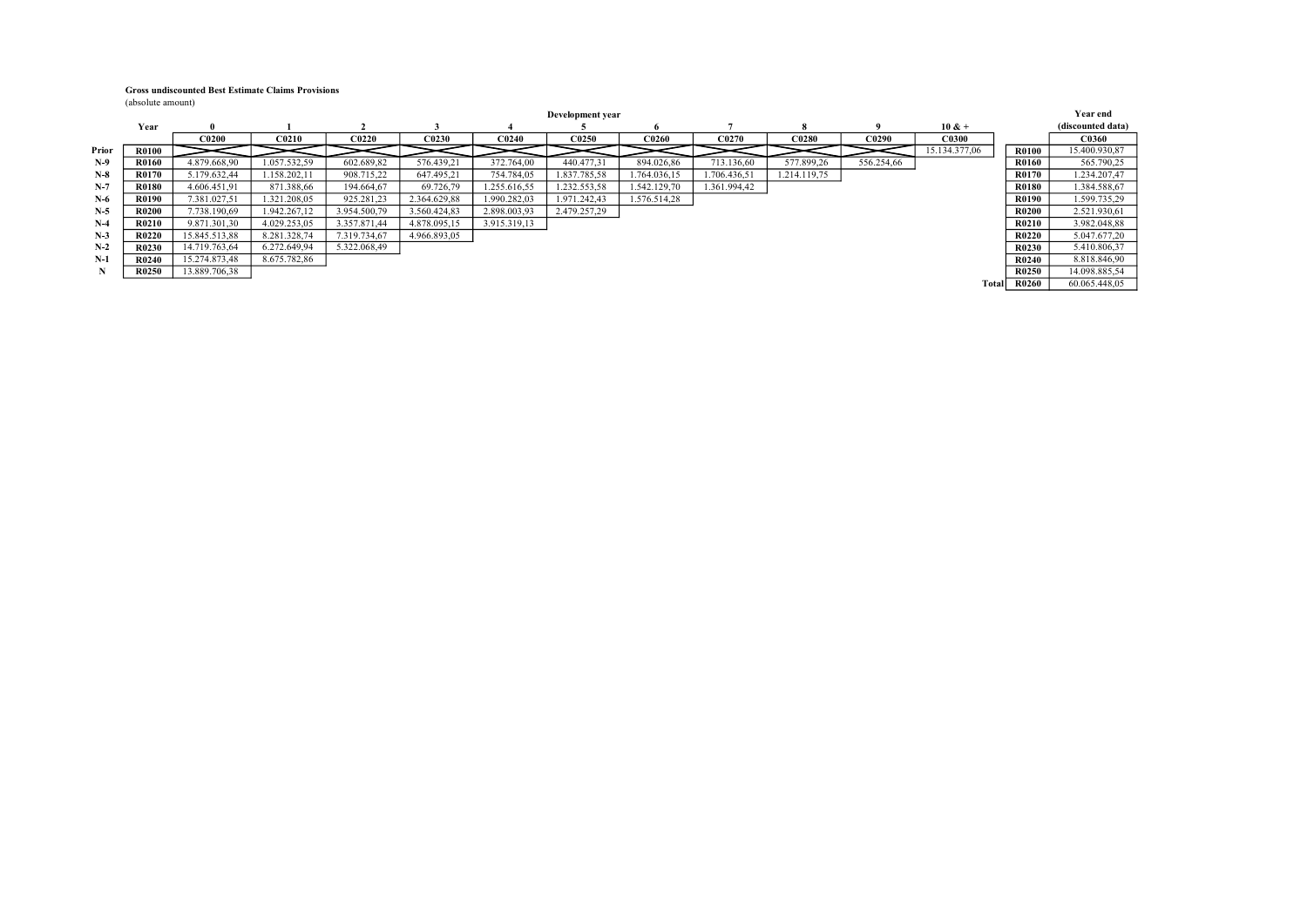#### Gross undiscounted Best Estimate Claims Provisions

(absolute amount)

|       |              |               |              |              |              |              | Development year |              |              |              |            |               |              | <b>Year end</b>   |
|-------|--------------|---------------|--------------|--------------|--------------|--------------|------------------|--------------|--------------|--------------|------------|---------------|--------------|-------------------|
|       | Year         |               |              |              |              |              |                  |              |              |              |            | $10 & +$      |              | (discounted data) |
|       |              | <b>C0200</b>  | <b>C0210</b> | <b>C0220</b> | <b>C0230</b> | <b>C0240</b> | C0250            | C0260        | C0270        | <b>C0280</b> | C0290      | <b>C0300</b>  |              | <b>C0360</b>      |
| Prior | <b>R0100</b> |               |              |              |              |              |                  |              |              |              |            | 15.134.377.06 | <b>R0100</b> | 15.400.930.87     |
| $N-9$ | <b>R0160</b> | 4.879.668.90  | 1.057.532,59 | 602.689,82   | 576.439.21   | 372.764.00   | 440.477.31       | 894.026.86   | 713.136,60   | 577.899,26   | 556.254.66 |               | R0160        | 565.790,25        |
| $N-8$ | <b>R0170</b> | 5.179.632,44  | 1.158.202,11 | 908.715,22   | 647.495,21   | 754.784,05   | 1.837.785,58     | 1.764.036,15 | 1.706.436,51 | 1.214.119,75 |            |               | R0170        | 1.234.207,47      |
| $N-7$ | <b>R0180</b> | 4.606.451.91  | 871.388,66   | 194.664.67   | 69.726,79    | 1.255.616.55 | 1.232.553,58     | 1.542.129,70 | 1.361.994.42 |              |            |               | <b>R0180</b> | 1.384.588,67      |
| $N-6$ | <b>R0190</b> | 7.381.027.51  | 1.321.208.05 | 925.281,23   | 2.364.629.88 | 1.990.282.03 | 1.971.242.43     | 1.576.514.28 |              |              |            |               | R0190        | 1.599.735,29      |
| $N-5$ | <b>R0200</b> | 7.738.190.69  | 1.942.267.12 | 3.954.500.79 | 3.560.424.83 | 2.898.003.93 | 2.479.257,29     |              |              |              |            |               | <b>R0200</b> | 2.521.930,61      |
| $N-4$ | <b>R0210</b> | 9.871.301.30  | 4.029.253.05 | 3.357.871.44 | 4.878.095.15 | 3.915.319.13 |                  |              |              |              |            |               | R0210        | 3.982.048,88      |
| $N-3$ | R0220        | 15.845.513,88 | 8.281.328,74 | 7.319.734,67 | 4.966.893,05 |              |                  |              |              |              |            |               | R0220        | 5.047.677,20      |
| $N-2$ | R0230        | 14.719.763,64 | 6.272.649.94 | 5.322.068,49 |              |              |                  |              |              |              |            |               | R0230        | 5.410.806,37      |
| $N-1$ | R0240        | 15.274.873,48 | 8.675.782.86 |              |              |              |                  |              |              |              |            |               | R0240        | 8.818.846,90      |
| N     | R0250        | 13.889.706,38 |              |              |              |              |                  |              |              |              |            |               | R0250        | 14.098.885,54     |
|       |              |               |              |              |              |              |                  |              |              |              |            | Totall        | <b>R0260</b> | 60.065.448.05     |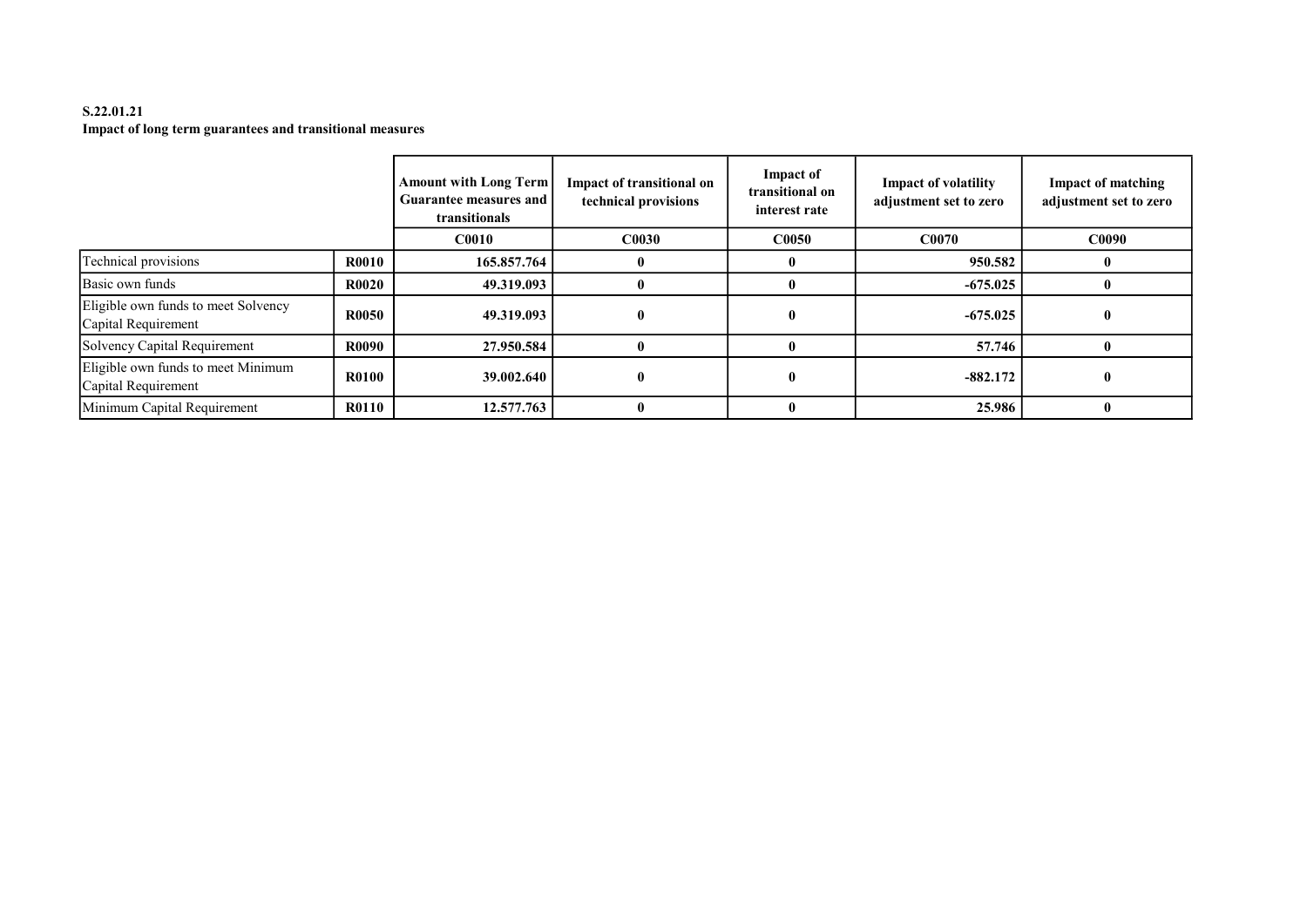# S.22.01.21 Impact of long term guarantees and transitional measures

|                                                            |              | <b>Amount with Long Term</b><br>Guarantee measures and<br>transitionals | <b>Impact of transitional on</b><br>technical provisions | <b>Impact of</b><br>transitional on<br>interest rate | <b>Impact of volatility</b><br>adjustment set to zero | <b>Impact of matching</b><br>adjustment set to zero |
|------------------------------------------------------------|--------------|-------------------------------------------------------------------------|----------------------------------------------------------|------------------------------------------------------|-------------------------------------------------------|-----------------------------------------------------|
|                                                            |              | C <sub>0010</sub>                                                       | <b>C0030</b>                                             | <b>C0050</b>                                         | <b>C0070</b>                                          | C0090                                               |
| Technical provisions                                       | <b>R0010</b> | 165.857.764                                                             |                                                          |                                                      | 950.582                                               |                                                     |
| Basic own funds                                            | <b>R0020</b> | 49.319.093                                                              | 0                                                        |                                                      | $-675.025$                                            |                                                     |
| Eligible own funds to meet Solvency<br>Capital Requirement | <b>R0050</b> | 49.319.093                                                              | $\mathbf{0}$                                             |                                                      | $-675.025$                                            |                                                     |
| Solvency Capital Requirement                               | <b>R0090</b> | 27.950.584                                                              | $\mathbf{0}$                                             |                                                      | 57.746                                                |                                                     |
| Eligible own funds to meet Minimum<br>Capital Requirement  | <b>R0100</b> | 39.002.640                                                              | $\mathbf{0}$                                             |                                                      | $-882.172$                                            |                                                     |
| Minimum Capital Requirement                                | <b>R0110</b> | 12.577.763                                                              | $\mathbf{0}$                                             |                                                      | 25.986                                                |                                                     |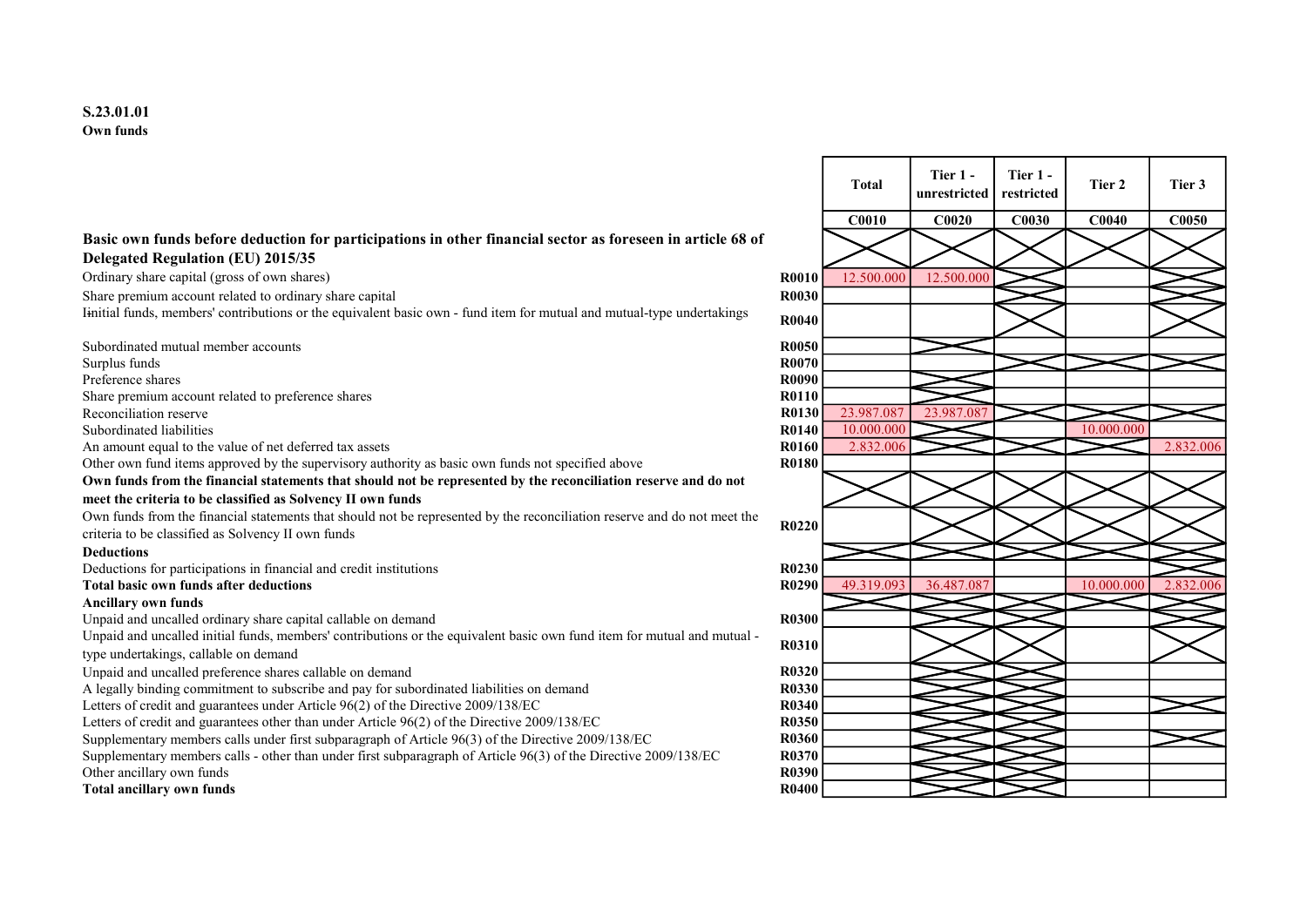## Basic own funds before deduction for participations in other financial sector as foreseen in article 68 of Delegated Regulation (EU) 2015/35

Ordinary share capital (gross of own shares) R0010 12.500.000 12.500.000 12.500.000 12.500.000 12.500.000 12.500.000 12.500.000 12.500.000 12.500.000 12.500.000 12.500.000 12.500.000 12.500.000 12.500.000 12.500.000 12.500

Share premium account related to ordinary share capital **R0030 R0030** 

Iinitial funds, members' contributions or the equivalent basic own - fund item for mutual and mutual-type undertakings R0040

Subordinated mutual member accounts R0050 Surplus funds **R0070** Preference shares **R0090** Share premium account related to preference shares R0110 Reconciliation reserve Reconciliation reserve R0130 23.987.087 23.987.087 23.987.087 23.987.087 23.987.087 23.987 Subordinated liabilities R0140 10.000.000 10.000.000 An amount equal to the value of net deferred tax assets **R0160** 2.832.006 2.832.006 2.832.006 2.832.006 2.832.006 2.832.006 2.832.006 2.832.006 2.832.006 2.832.006 2.832.006 2.832.006 2.832.006 2.832.006 2.832.006 2.832.00 Other own fund items approved by the supervisory authority as basic own funds not specified above R0180 Own funds from the financial statements that should not be represented by the reconciliation reserve and do not meet the criteria to be classified as Solvency II own funds Own funds from the financial statements that should not be represented by the reconciliation reserve and do not meet the Own funds from the financial statements that should not be represented by the reconciliation reserve and do not meet the<br>criteria to be classified as Solvency II own funds Deductions Deductions for participations in financial and credit institutions R0230

#### Ancillary own funds

Unpaid and uncalled ordinary share capital callable on demand  $R0300$ 

Unpaid and uncalled initial funds, members' contributions or the equivalent basic own fund item for mutual and mutual type undertakings, callable on demand<br>type undertakings, callable on demand

Unpaid and uncalled preference shares callable on demand **R0320** R0320

A legally binding commitment to subscribe and pay for subordinated liabilities on demand R0330

Letters of credit and guarantees under Article 96(2) of the Directive 2009/138/EC R0340

Letters of credit and guarantees other than under Article 96(2) of the Directive 2009/138/EC R0350

Supplementary members calls under first subparagraph of Article 96(3) of the Directive 2009/138/EC R0360

Supplementary members calls - other than under first subparagraph of Article 96(3) of the Directive 2009/138/EC R0370 Other ancillary own funds **R0390** Compared to the control of the control of the control of the control of the control of the control of the control of the control of the control of the control of the control of the control

Total ancillary own funds R0400

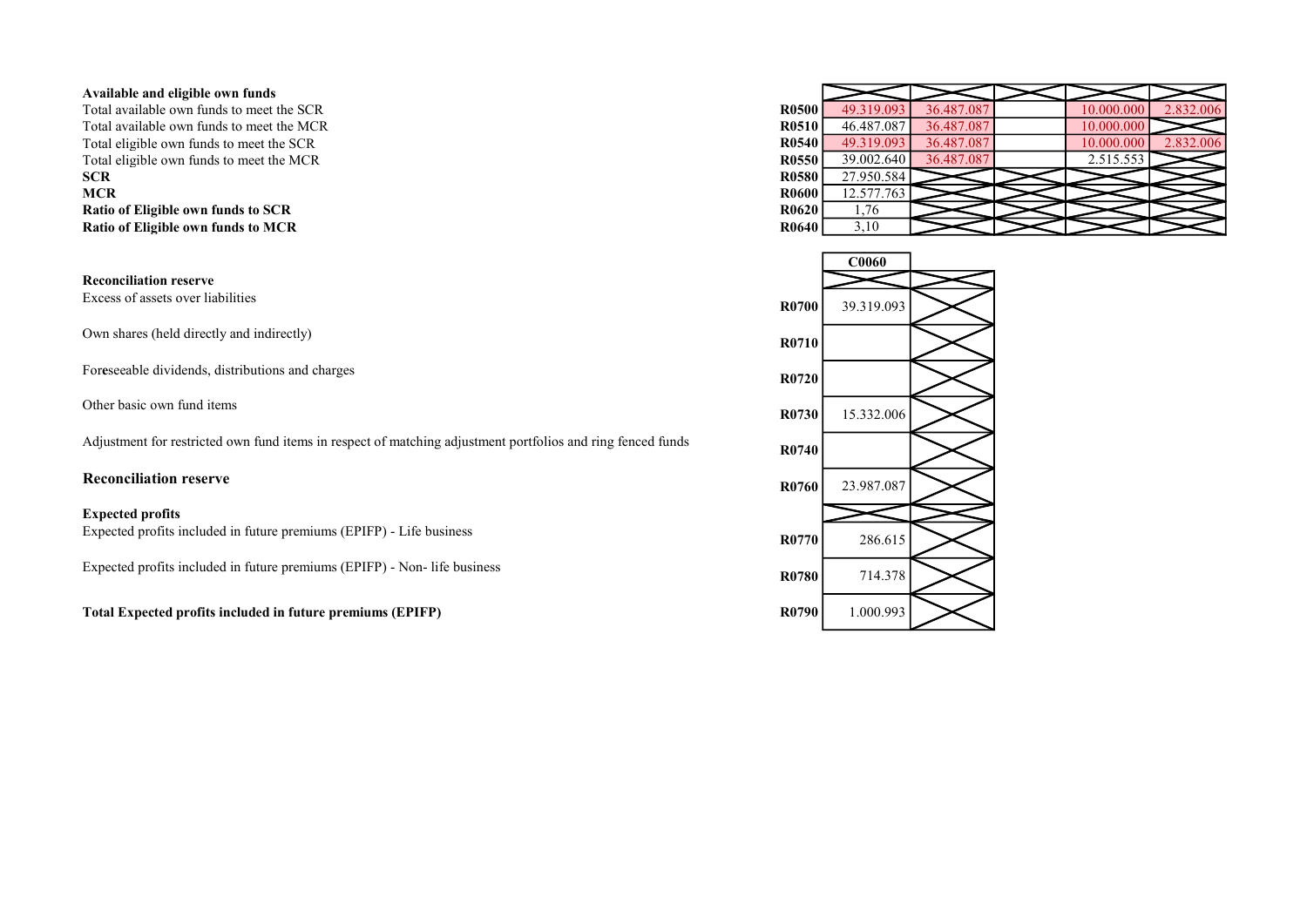#### Available and eligible own funds

Total available own funds to meet the SCR Total available own funds to meet the MCR Total eligible own funds to meet the SCR Total eligible own funds to meet the MCR SCR R0580 27.950.584 **MCR** R0600 12.577.763 Ratio of Eligible own funds to SCR Ratio of Eligible own funds to MCR

Reconciliation reserve

Own shares (held directly and indirectly) R0710

Foreseeable dividends, distributions and charges R0720

Adjustment for restricted own fund items in respect of matching adjustment portfolios and ring fenced funds R0740

#### Expected profits

Expected profits included in future premiums (EPIFP) - Life business R0770 286.615

Expected profits included in future premiums (EPIFP) - Non- life business R0780 R0780 R0780

Total Expected profits included in future premiums (EPIFP) R0790 R0790 R0790 R0790 R0790 R0790 R0790 R0790 R0790 R0790 R0790 R0790 R0790 R0790 R0790 R0790 R0790 R0790 R0790 R0790 R0790 R0790 R0790 R0790 R0790 R0790 R0790 R

| 49.319.093 | 36.487.087 | 10.000.000 | 2.832.006 |
|------------|------------|------------|-----------|
| 46.487.087 | 36.487.087 | 10.000.000 |           |
| 49.319.093 | 36.487.087 | 10.000.000 | 2.832.006 |
| 39.002.640 | 36.487.087 | 2.515.553  |           |
| 27.950.584 |            |            |           |
| 12.577.763 |            |            |           |
| 1,76       |            |            |           |
| 3,10       |            |            |           |
|            |            |            |           |

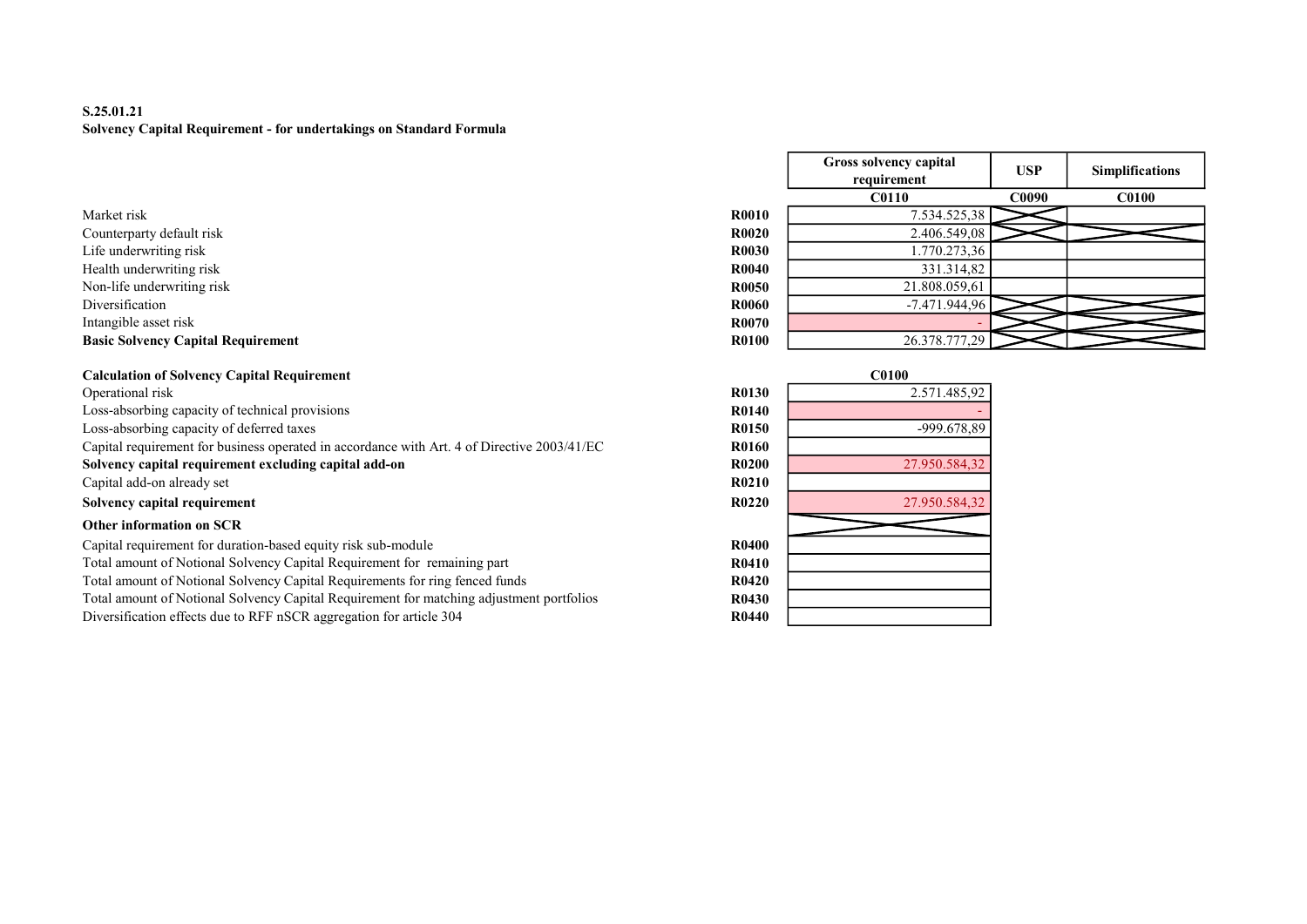# S.25.01.21 Solvency Capital Requirement - for undertakings on Standard Formula

- Counterparty default risk R0.5549, 2.406.549, 2.406.549, 2.406.549, 2.406.549, 2.406.549, 2.540.549, 2.549, 2.549, 2.549, 2.549, 2.549, 2.549, 2.549, 2.549, 2.549, 2.549, 2.549, 2.549, 2.549, 2.549, 2.549, 2.549, 2.549, 2. Life underwriting risk R0030 R030 1.770.273,366 R0030 1.770.273,366 R0030 1.770.273,366 R0030 1.770.273,366 R0
- Health underwriting risk R
- Non-life underwriting risk  $\mathbf{R}$
- 
- Intangible asset risk R0070 R0070 R0070 R0070 R0070 R0070 R0070 R0070 R0070 R0070 R0070 R0070 R0070 R0070 R0070 R0070 R0070 R0070 R0070 R0070 R0070 R0070 R0070 R0070 R0070 -

# Basic Solvency Capital Requirement **R0100 26.378.79.778.79.777,2010 26.378.777** R0

# Calculation of Solvency Capital Requirement<br>Operational risk

Operational risk 2.571.485,92 Loss-absorbing capacity of technical provisions Loss-absorbing capacity of deferred taxes Capital requirement for business operated in accordance with Art. 4 of Directive 2003/41/EC Solvency capital requirement excluding capital add-on Capital add-on already set Solvency capital requirement R0220 27.950.584,3220 27.950.584,3220 27.950.584,3220 27.950.584,3220 27.950.584,3220 27.950.584,3220 27.950.584,3220 27.950.584,3220 27.950.584,3220 27.950.584,3220 27.950.584,3220 27.950.584, Other information on SCR Capital requirement for duration-based equity risk sub-module

Total amount of Notional Solvency Capital Requirement for remaining part Total amount of Notional Solvency Capital Requirements for ring fenced funds R04200 PM and R04200 PM and R04200 PM and R04200 PM and R04200 PM and R04200 PM and R04200 PM and R04200 PM and R04200 PM and R04200 PM and R0420 Total amount of Notional Solvency Capital Requirement for matching adjustment portfolios Diversification effects due to RFF nSCR aggregation for article 304

|                                           |              | Gross solvency capital<br>requirement | <b>USP</b>   | <b>Simplifications</b> |
|-------------------------------------------|--------------|---------------------------------------|--------------|------------------------|
|                                           |              | <b>C0110</b>                          | <b>C0090</b> | <b>C0100</b>           |
| Market risk                               | <b>R0010</b> | 7.534.525,38                          |              |                        |
| Counterparty default risk                 | <b>R0020</b> | 2.406.549,08                          |              |                        |
| Life underwriting risk                    | <b>R0030</b> | 1.770.273,36                          |              |                        |
| Health underwriting risk                  | <b>R0040</b> | 331.314,82                            |              |                        |
| Non-life underwriting risk                | <b>R0050</b> | 21.808.059,61                         |              |                        |
| Diversification                           | <b>R0060</b> | $-7.471.944.96$                       |              |                        |
| Intangible asset risk                     | <b>R0070</b> |                                       |              |                        |
| <b>Basic Solvency Capital Requirement</b> | <b>R0100</b> | 26.378.777,29                         |              |                        |

|              | <b>C0100</b>  |
|--------------|---------------|
| <b>R0130</b> | 2.571.485,92  |
| R0140        |               |
| R0150        | -999.678,89   |
| R0160        |               |
| <b>R0200</b> | 27.950.584,32 |
| <b>R0210</b> |               |
| R0220        | 27.950.584,32 |
|              |               |
| R0400        |               |
| <b>R0410</b> |               |
| R0420        |               |
| <b>R0430</b> |               |
| R0440        |               |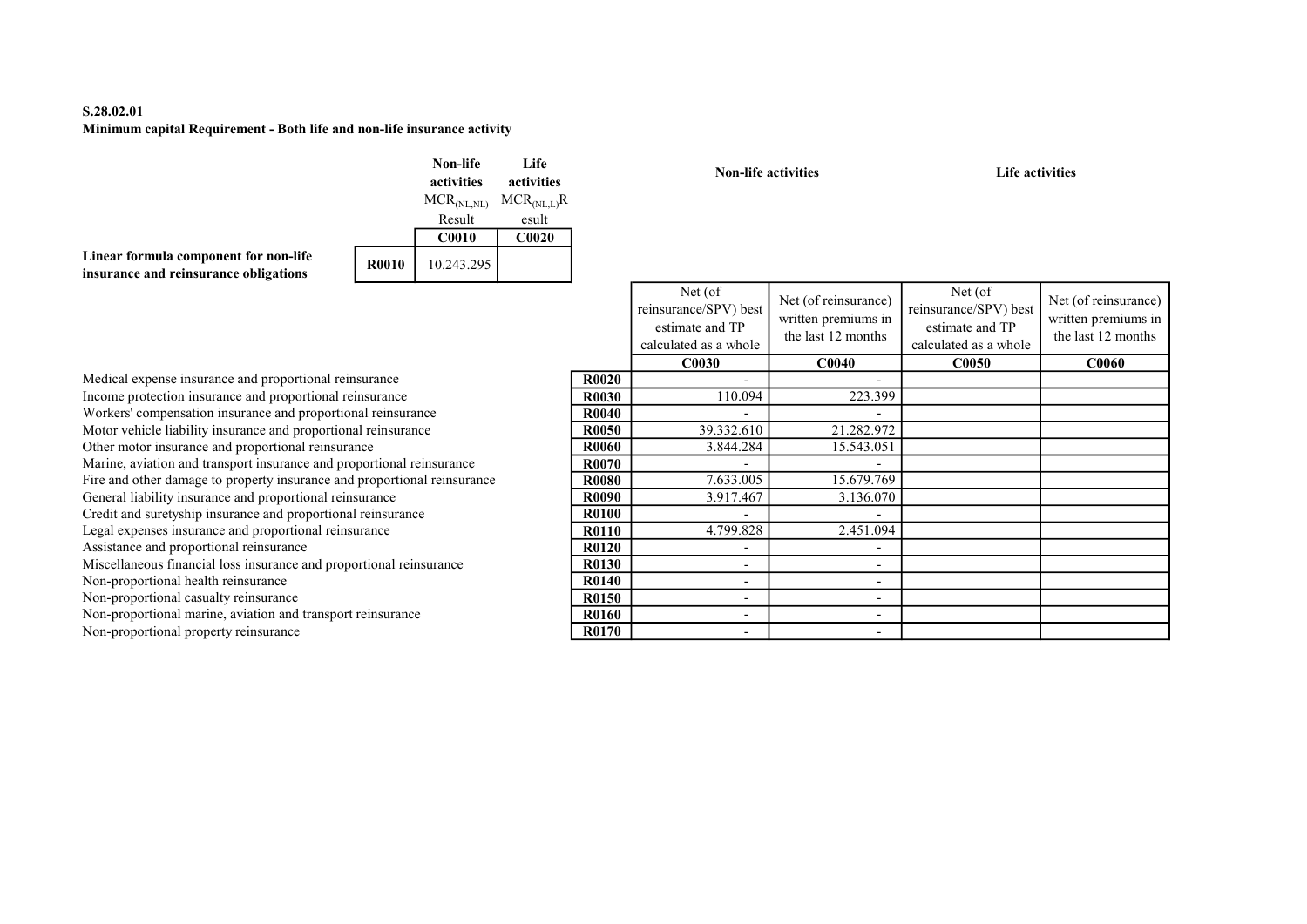# S.28.02.01 Minimum capital Requirement - Both life and non-life insurance activity

|                                                                                |              | Non-life<br>activities  | Life<br>activities |
|--------------------------------------------------------------------------------|--------------|-------------------------|--------------------|
|                                                                                |              | MCR <sub>(NL, NL)</sub> | $MCR_{(NLL)}R$     |
|                                                                                |              | Result                  | esult              |
|                                                                                |              | C <sub>0010</sub>       | C0020              |
| Linear formula component for non-life<br>insurance and reinsurance obligations | <b>R0010</b> | 10.243.295              |                    |

Non-life activities and Life activities and Life activities

|       | Net (of<br>reinsurance/SPV) best<br>estimate and TP<br>calculated as a whole | Net (of reinsurance)<br>written premiums in<br>the last 12 months | Net (of)<br>reinsurance/SPV) best<br>estimate and TP<br>calculated as a whole | Net (of reinsurance)<br>written premiums in<br>the last 12 months |
|-------|------------------------------------------------------------------------------|-------------------------------------------------------------------|-------------------------------------------------------------------------------|-------------------------------------------------------------------|
|       | <b>C0030</b>                                                                 | <b>C0040</b>                                                      | <b>C0050</b>                                                                  | <b>C0060</b>                                                      |
| R0020 |                                                                              |                                                                   |                                                                               |                                                                   |
| R0030 | 110.094                                                                      | 223.399                                                           |                                                                               |                                                                   |
| R0040 |                                                                              |                                                                   |                                                                               |                                                                   |
| R0050 | 39.332.610                                                                   | 21.282.972                                                        |                                                                               |                                                                   |
| R0060 | 3.844.284                                                                    | 15.543.051                                                        |                                                                               |                                                                   |
| R0070 |                                                                              |                                                                   |                                                                               |                                                                   |
| R0080 | 7.633.005                                                                    | 15.679.769                                                        |                                                                               |                                                                   |
| R0090 | 3.917.467                                                                    | 3.136.070                                                         |                                                                               |                                                                   |
| R0100 |                                                                              |                                                                   |                                                                               |                                                                   |
| R0110 | 4.799.828                                                                    | 2.451.094                                                         |                                                                               |                                                                   |
| R0120 |                                                                              |                                                                   |                                                                               |                                                                   |
| R0130 |                                                                              |                                                                   |                                                                               |                                                                   |
| R0140 |                                                                              |                                                                   |                                                                               |                                                                   |
| R0150 |                                                                              |                                                                   |                                                                               |                                                                   |
| R0160 |                                                                              |                                                                   |                                                                               |                                                                   |
| R0170 |                                                                              |                                                                   |                                                                               |                                                                   |

Medical expense insurance and proportional reinsurance Income protection insurance and proportional reinsurance Workers' compensation insurance and proportional reinsurance Motor vehicle liability insurance and proportional reinsurance Other motor insurance and proportional reinsurance Marine, aviation and transport insurance and proportional reinsurance Fire and other damage to property insurance and proportional reinsurance General liability insurance and proportional reinsurance Credit and suretyship insurance and proportional reinsurance Legal expenses insurance and proportional reinsurance Assistance and proportional reinsurance Miscellaneous financial loss insurance and proportional reinsurance Non-proportional health reinsurance Non-proportional casualty reinsurance Non-proportional marine, aviation and transport reinsurance

Non-proportional property reinsurance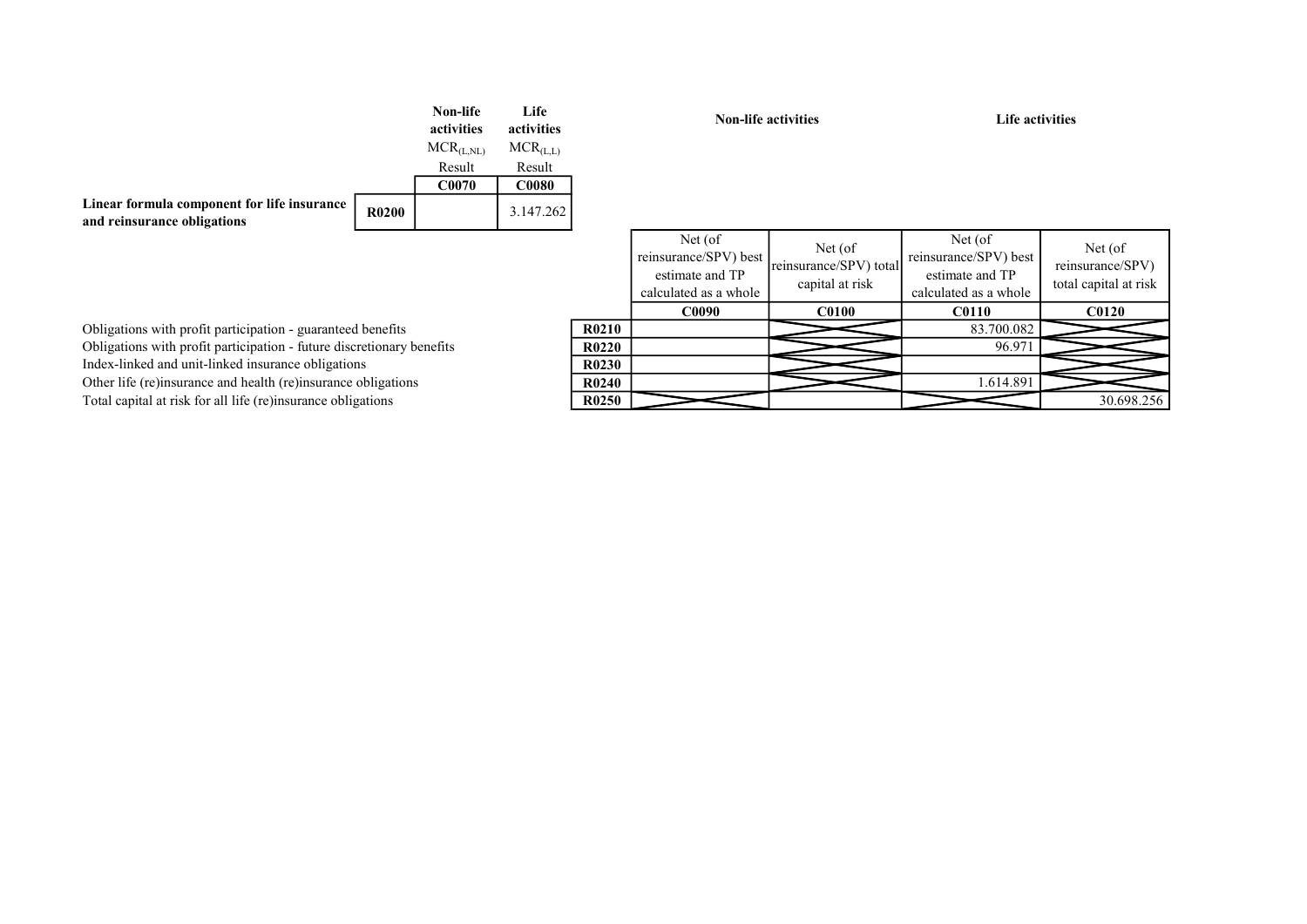|              | Non-life<br>activities | Life<br>activities |
|--------------|------------------------|--------------------|
|              | $MCR_{(L, NL)}$        | $MCR_{(L,L)}$      |
|              | Result                 | Result             |
|              | <b>C0070</b>           | <b>C0080</b>       |
| <b>R0200</b> |                        | 3.147.262          |
|              |                        |                    |

Non-life activities Life activities

|                                | Net (of<br>reinsurance/SPV) best<br>estimate and TP<br>calculated as a whole | Net (of)<br>reinsurance/SPV) total<br>capital at risk | Net (of)<br>reinsurance/SPV) best<br>estimate and TP<br>calculated as a whole | Net (of)<br>reinsurance/SPV)<br>total capital at risk |
|--------------------------------|------------------------------------------------------------------------------|-------------------------------------------------------|-------------------------------------------------------------------------------|-------------------------------------------------------|
|                                | <b>C0090</b>                                                                 | <b>C0100</b>                                          | <b>C0110</b>                                                                  | <b>C0120</b>                                          |
| R <sub>0210</sub>              |                                                                              |                                                       | 83.700.082                                                                    |                                                       |
| R <sub>0</sub> 22 <sub>0</sub> |                                                                              |                                                       | 96.971                                                                        |                                                       |
| R0230                          |                                                                              |                                                       |                                                                               |                                                       |
| R <sub>0</sub> 24 <sub>0</sub> |                                                                              |                                                       | 1.614.891                                                                     |                                                       |
| R0250                          |                                                                              |                                                       |                                                                               | 30.698.256                                            |

Obligations with profit participation - guaranteed benefits Obligations with profit participation - future discretionary benefits Index-linked and unit-linked insurance obligations Other life (re)insurance and health (re)insurance obligations Total capital at risk for all life (re)insurance obligations